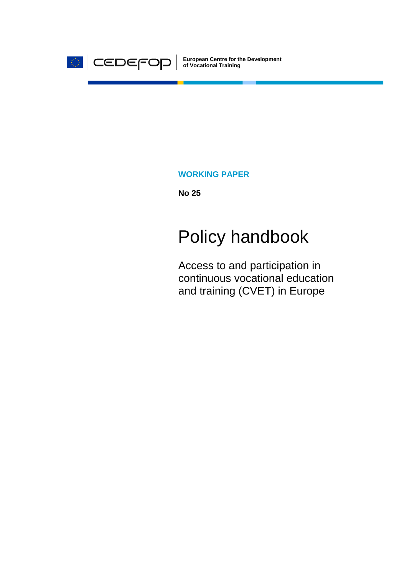

**European Centre for the Development of Vocational Training**

### **WORKING PAPER**

**No 25**

# Policy handbook

Access to and participation in continuous vocational education and training (CVET) in Europe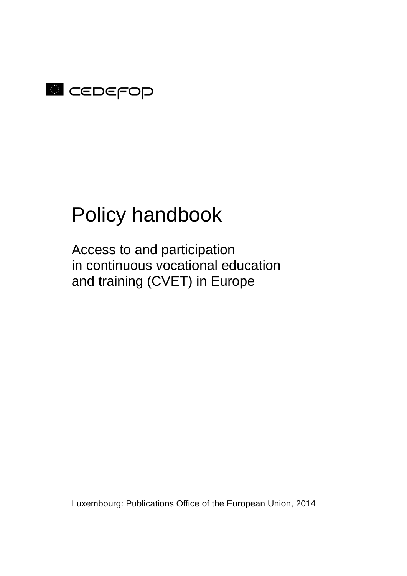

# Policy handbook

Access to and participation in continuous vocational education and training (CVET) in Europe

Luxembourg: Publications Office of the European Union, 2014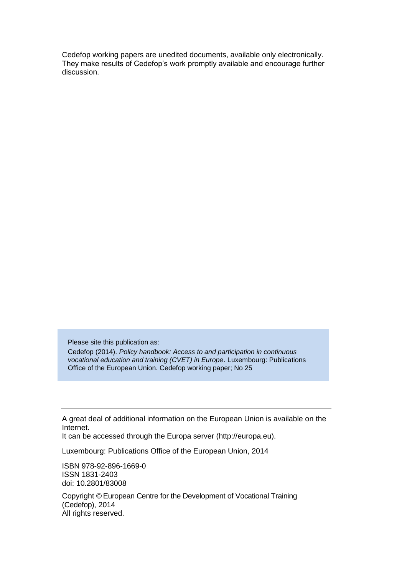Cedefop working papers are unedited documents, available only electronically. They make results of Cedefop's work promptly available and encourage further discussion.

Please site this publication as: Cedefop (2014). *Policy handbook: Access to and participation in continuous vocational education and training (CVET) in Europe*. Luxembourg: Publications Office of the European Union. Cedefop working paper; No 25

A great deal of additional information on the European Union is available on the Internet.

It can be accessed through the Europa server (http://europa.eu).

Luxembourg: Publications Office of the European Union, 2014

ISBN 978-92-896-1669-0 ISSN 1831-2403 doi: 10.2801/83008

Copyright © European Centre for the Development of Vocational Training (Cedefop), 2014 All rights reserved.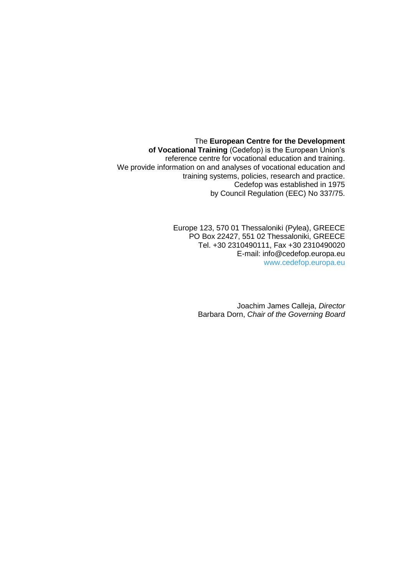The **European Centre for the Development of Vocational Training** (Cedefop) is the European Union's reference centre for vocational education and training. We provide information on and analyses of vocational education and training systems, policies, research and practice. Cedefop was established in 1975 by Council Regulation (EEC) No 337/75.

> Europe 123, 570 01 Thessaloniki (Pylea), GREECE PO Box 22427, 551 02 Thessaloniki, GREECE Tel. +30 2310490111, Fax +30 2310490020 E-mail: info@cedefop.europa.eu [www.cedefop.europa.eu](http://www.cedefop.europa.eu/)

> > Joachim James Calleja, *Director* Barbara Dorn, *Chair of the Governing Board*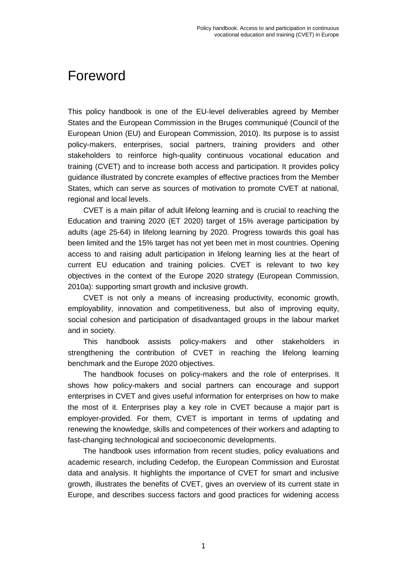# <span id="page-6-0"></span>Foreword

This policy handbook is one of the EU-level deliverables agreed by Member States and the European Commission in the Bruges communiqué (Council of the European Union (EU) and European Commission, 2010). Its purpose is to assist policy-makers, enterprises, social partners, training providers and other stakeholders to reinforce high-quality continuous vocational education and training (CVET) and to increase both access and participation. It provides policy guidance illustrated by concrete examples of effective practices from the Member States, which can serve as sources of motivation to promote CVET at national, regional and local levels.

CVET is a main pillar of adult lifelong learning and is crucial to reaching the Education and training 2020 (ET 2020) target of 15% average participation by adults (age 25-64) in lifelong learning by 2020. Progress towards this goal has been limited and the 15% target has not yet been met in most countries. Opening access to and raising adult participation in lifelong learning lies at the heart of current EU education and training policies. CVET is relevant to two key objectives in the context of the Europe 2020 strategy (European Commission, 2010a): supporting smart growth and inclusive growth.

CVET is not only a means of increasing productivity, economic growth, employability, innovation and competitiveness, but also of improving equity, social cohesion and participation of disadvantaged groups in the labour market and in society.

This handbook assists policy-makers and other stakeholders in strengthening the contribution of CVET in reaching the lifelong learning benchmark and the Europe 2020 objectives.

The handbook focuses on policy-makers and the role of enterprises. It shows how policy-makers and social partners can encourage and support enterprises in CVET and gives useful information for enterprises on how to make the most of it. Enterprises play a key role in CVET because a major part is employer-provided. For them, CVET is important in terms of updating and renewing the knowledge, skills and competences of their workers and adapting to fast-changing technological and socioeconomic developments.

The handbook uses information from recent studies, policy evaluations and academic research, including Cedefop, the European Commission and Eurostat data and analysis. It highlights the importance of CVET for smart and inclusive growth, illustrates the benefits of CVET, gives an overview of its current state in Europe, and describes success factors and good practices for widening access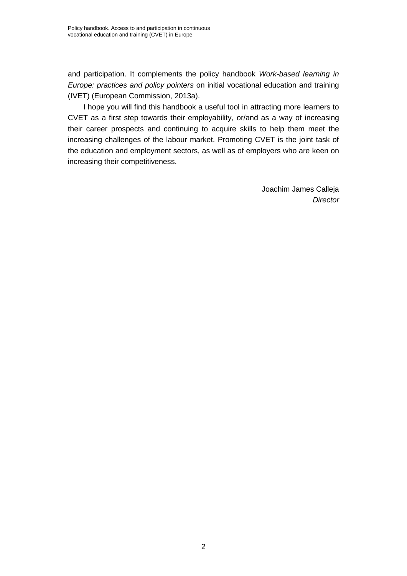and participation. It complements the policy handbook *Work-based learning in Europe: practices and policy pointers* on initial vocational education and training (IVET) (European Commission, 2013a).

I hope you will find this handbook a useful tool in attracting more learners to CVET as a first step towards their employability, or/and as a way of increasing their career prospects and continuing to acquire skills to help them meet the increasing challenges of the labour market. Promoting CVET is the joint task of the education and employment sectors, as well as of employers who are keen on increasing their competitiveness.

> Joachim James Calleja *Director*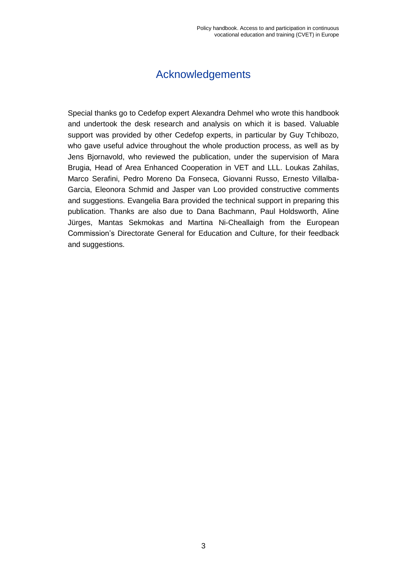## Acknowledgements

<span id="page-8-0"></span>Special thanks go to Cedefop expert Alexandra Dehmel who wrote this handbook and undertook the desk research and analysis on which it is based. Valuable support was provided by other Cedefop experts, in particular by Guy Tchibozo, who gave useful advice throughout the whole production process, as well as by Jens Bjornavold, who reviewed the publication, under the supervision of Mara Brugia, Head of Area Enhanced Cooperation in VET and LLL. Loukas Zahilas, Marco Serafini, Pedro Moreno Da Fonseca, Giovanni Russo, Ernesto Villalba-Garcia, Eleonora Schmid and Jasper van Loo provided constructive comments and suggestions. Evangelia Bara provided the technical support in preparing this publication. Thanks are also due to Dana Bachmann, Paul Holdsworth, Aline Jürges, Mantas Sekmokas and Martina Ni-Cheallaigh from the European Commission's Directorate General for Education and Culture, for their feedback and suggestions.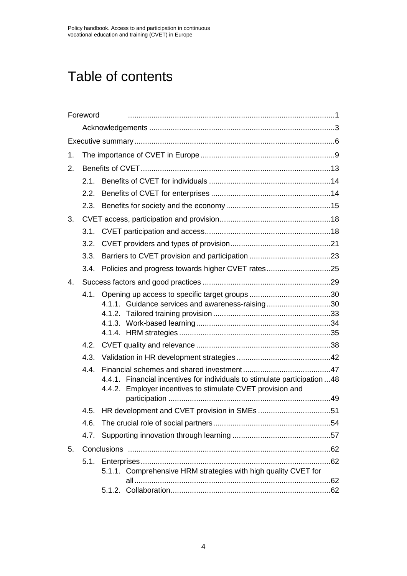# Table of contents

|    | Foreword |                                                                                                                                         |  |  |  |  |  |
|----|----------|-----------------------------------------------------------------------------------------------------------------------------------------|--|--|--|--|--|
|    |          |                                                                                                                                         |  |  |  |  |  |
|    |          |                                                                                                                                         |  |  |  |  |  |
| 1. |          |                                                                                                                                         |  |  |  |  |  |
| 2. |          |                                                                                                                                         |  |  |  |  |  |
|    | 2.1.     |                                                                                                                                         |  |  |  |  |  |
|    | 2.2.     |                                                                                                                                         |  |  |  |  |  |
|    | 2.3.     |                                                                                                                                         |  |  |  |  |  |
| 3. |          |                                                                                                                                         |  |  |  |  |  |
|    |          |                                                                                                                                         |  |  |  |  |  |
|    | 3.2.     |                                                                                                                                         |  |  |  |  |  |
|    | 3.3.     |                                                                                                                                         |  |  |  |  |  |
|    |          | 3.4. Policies and progress towards higher CVET rates25                                                                                  |  |  |  |  |  |
| 4. |          |                                                                                                                                         |  |  |  |  |  |
|    | 4.1.     | 4.1.1. Guidance services and awareness-raising30                                                                                        |  |  |  |  |  |
|    | 4.2.     |                                                                                                                                         |  |  |  |  |  |
|    | 4.3.     |                                                                                                                                         |  |  |  |  |  |
|    | 4.4.     | 4.4.1. Financial incentives for individuals to stimulate participation 48<br>4.4.2. Employer incentives to stimulate CVET provision and |  |  |  |  |  |
|    | 4.5.     |                                                                                                                                         |  |  |  |  |  |
|    | 4.6.     |                                                                                                                                         |  |  |  |  |  |
|    | 4.7.     |                                                                                                                                         |  |  |  |  |  |
| 5. |          |                                                                                                                                         |  |  |  |  |  |
|    |          |                                                                                                                                         |  |  |  |  |  |
|    |          | 5.1.1. Comprehensive HRM strategies with high quality CVET for                                                                          |  |  |  |  |  |
|    |          |                                                                                                                                         |  |  |  |  |  |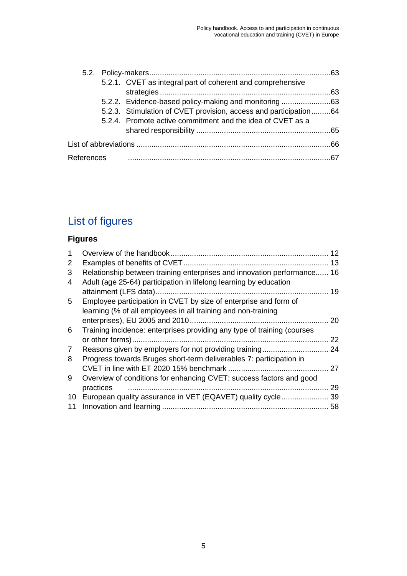|            |  | 5.2.1. CVET as integral part of coherent and comprehensive       |  |  |  |
|------------|--|------------------------------------------------------------------|--|--|--|
|            |  |                                                                  |  |  |  |
|            |  |                                                                  |  |  |  |
|            |  | 5.2.3. Stimulation of CVET provision, access and participation64 |  |  |  |
|            |  | 5.2.4. Promote active commitment and the idea of CVET as a       |  |  |  |
|            |  |                                                                  |  |  |  |
|            |  |                                                                  |  |  |  |
| References |  |                                                                  |  |  |  |

# List of figures

# **Figures**

|                                                                         | 12 |
|-------------------------------------------------------------------------|----|
|                                                                         | 13 |
| Relationship between training enterprises and innovation performance 16 |    |
| Adult (age 25-64) participation in lifelong learning by education       |    |
|                                                                         | 19 |
| Employee participation in CVET by size of enterprise and form of        |    |
| learning (% of all employees in all training and non-training           |    |
|                                                                         | 20 |
| Training incidence: enterprises providing any type of training (courses |    |
|                                                                         | 22 |
|                                                                         | 24 |
| Progress towards Bruges short-term deliverables 7: participation in     |    |
|                                                                         | 27 |
| Overview of conditions for enhancing CVET: success factors and good     |    |
| practices                                                               | 29 |
| European quality assurance in VET (EQAVET) quality cycle                | 39 |
|                                                                         | 58 |
|                                                                         |    |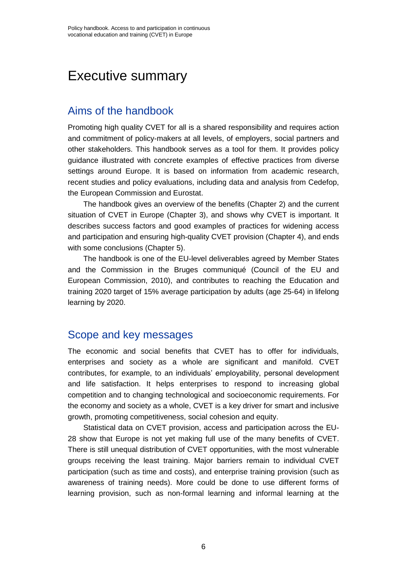# <span id="page-11-0"></span>Executive summary

### Aims of the handbook

Promoting high quality CVET for all is a shared responsibility and requires action and commitment of policy-makers at all levels, of employers, social partners and other stakeholders. This handbook serves as a tool for them. It provides policy guidance illustrated with concrete examples of effective practices from diverse settings around Europe. It is based on information from academic research, recent studies and policy evaluations, including data and analysis from Cedefop, the European Commission and Eurostat.

The handbook gives an overview of the benefits (Chapter 2) and the current situation of CVET in Europe (Chapter 3), and shows why CVET is important. It describes success factors and good examples of practices for widening access and participation and ensuring high-quality CVET provision (Chapter 4), and ends with some conclusions (Chapter 5).

The handbook is one of the EU-level deliverables agreed by Member States and the Commission in the Bruges communiqué (Council of the EU and European Commission, 2010), and contributes to reaching the Education and training 2020 target of 15% average participation by adults (age 25-64) in lifelong learning by 2020.

### Scope and key messages

The economic and social benefits that CVET has to offer for individuals, enterprises and society as a whole are significant and manifold. CVET contributes, for example, to an individuals' employability, personal development and life satisfaction. It helps enterprises to respond to increasing global competition and to changing technological and socioeconomic requirements. For the economy and society as a whole, CVET is a key driver for smart and inclusive growth, promoting competitiveness, social cohesion and equity.

Statistical data on CVET provision, access and participation across the EU-28 show that Europe is not yet making full use of the many benefits of CVET. There is still unequal distribution of CVET opportunities, with the most vulnerable groups receiving the least training. Major barriers remain to individual CVET participation (such as time and costs), and enterprise training provision (such as awareness of training needs). More could be done to use different forms of learning provision, such as non-formal learning and informal learning at the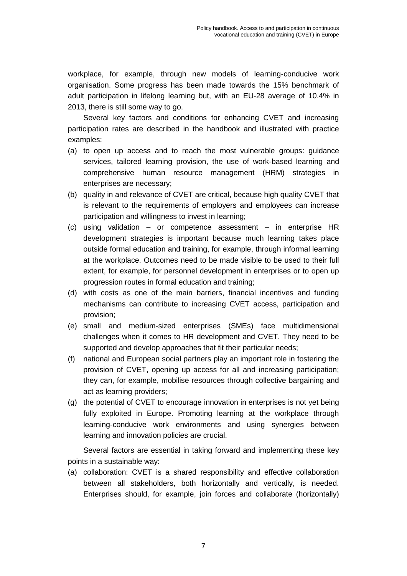workplace, for example, through new models of learning-conducive work organisation. Some progress has been made towards the 15% benchmark of adult participation in lifelong learning but, with an EU-28 average of 10.4% in 2013, there is still some way to go.

Several key factors and conditions for enhancing CVET and increasing participation rates are described in the handbook and illustrated with practice examples:

- (a) to open up access and to reach the most vulnerable groups: guidance services, tailored learning provision, the use of work-based learning and comprehensive human resource management (HRM) strategies in enterprises are necessary;
- (b) quality in and relevance of CVET are critical, because high quality CVET that is relevant to the requirements of employers and employees can increase participation and willingness to invest in learning;
- (c) using validation or competence assessment in enterprise HR development strategies is important because much learning takes place outside formal education and training, for example, through informal learning at the workplace. Outcomes need to be made visible to be used to their full extent, for example, for personnel development in enterprises or to open up progression routes in formal education and training;
- (d) with costs as one of the main barriers, financial incentives and funding mechanisms can contribute to increasing CVET access, participation and provision;
- (e) small and medium-sized enterprises (SMEs) face multidimensional challenges when it comes to HR development and CVET. They need to be supported and develop approaches that fit their particular needs;
- (f) national and European social partners play an important role in fostering the provision of CVET, opening up access for all and increasing participation; they can, for example, mobilise resources through collective bargaining and act as learning providers;
- (g) the potential of CVET to encourage innovation in enterprises is not yet being fully exploited in Europe. Promoting learning at the workplace through learning-conducive work environments and using synergies between learning and innovation policies are crucial.

Several factors are essential in taking forward and implementing these key points in a sustainable way:

(a) collaboration: CVET is a shared responsibility and effective collaboration between all stakeholders, both horizontally and vertically, is needed. Enterprises should, for example, join forces and collaborate (horizontally)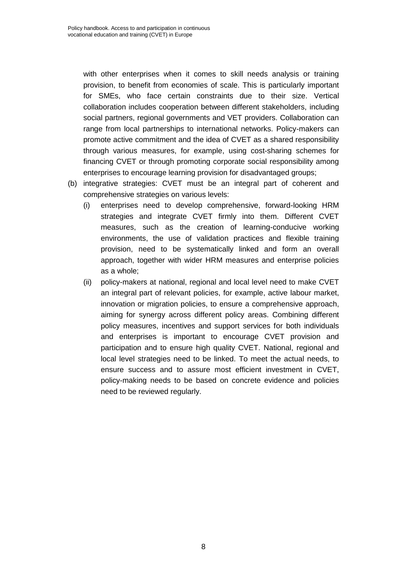with other enterprises when it comes to skill needs analysis or training provision, to benefit from economies of scale. This is particularly important for SMEs, who face certain constraints due to their size. Vertical collaboration includes cooperation between different stakeholders, including social partners, regional governments and VET providers. Collaboration can range from local partnerships to international networks. Policy-makers can promote active commitment and the idea of CVET as a shared responsibility through various measures, for example, using cost-sharing schemes for financing CVET or through promoting corporate social responsibility among enterprises to encourage learning provision for disadvantaged groups;

- (b) integrative strategies: CVET must be an integral part of coherent and comprehensive strategies on various levels:
	- (i) enterprises need to develop comprehensive, forward-looking HRM strategies and integrate CVET firmly into them. Different CVET measures, such as the creation of learning-conducive working environments, the use of validation practices and flexible training provision, need to be systematically linked and form an overall approach, together with wider HRM measures and enterprise policies as a whole;
	- (ii) policy-makers at national, regional and local level need to make CVET an integral part of relevant policies, for example, active labour market, innovation or migration policies, to ensure a comprehensive approach, aiming for synergy across different policy areas. Combining different policy measures, incentives and support services for both individuals and enterprises is important to encourage CVET provision and participation and to ensure high quality CVET. National, regional and local level strategies need to be linked. To meet the actual needs, to ensure success and to assure most efficient investment in CVET, policy-making needs to be based on concrete evidence and policies need to be reviewed regularly.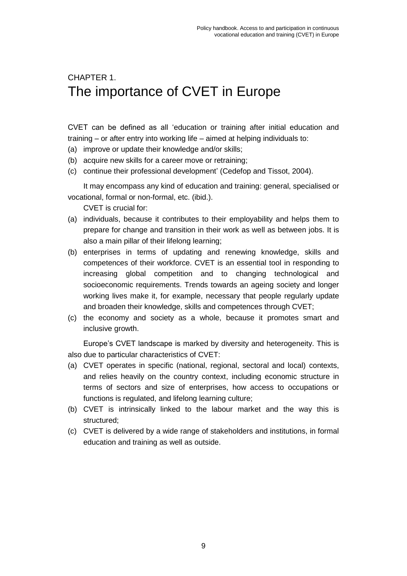# <span id="page-14-0"></span>CHAPTER 1. The importance of CVET in Europe

CVET can be defined as all 'education or training after initial education and training – or after entry into working life – aimed at helping individuals to:

- (a) improve or update their knowledge and/or skills;
- (b) acquire new skills for a career move or retraining;
- (c) continue their professional development' (Cedefop and Tissot, 2004).

It may encompass any kind of education and training: general, specialised or vocational, formal or non-formal, etc. (ibid.).

CVET is crucial for:

- (a) individuals, because it contributes to their employability and helps them to prepare for change and transition in their work as well as between jobs. It is also a main pillar of their lifelong learning;
- (b) enterprises in terms of updating and renewing knowledge, skills and competences of their workforce. CVET is an essential tool in responding to increasing global competition and to changing technological and socioeconomic requirements. Trends towards an ageing society and longer working lives make it, for example, necessary that people regularly update and broaden their knowledge, skills and competences through CVET;
- (c) the economy and society as a whole, because it promotes smart and inclusive growth.

Europe's CVET landscape is marked by diversity and heterogeneity. This is also due to particular characteristics of CVET:

- (a) CVET operates in specific (national, regional, sectoral and local) contexts, and relies heavily on the country context, including economic structure in terms of sectors and size of enterprises, how access to occupations or functions is regulated, and lifelong learning culture;
- (b) CVET is intrinsically linked to the labour market and the way this is structured;
- (c) CVET is delivered by a wide range of stakeholders and institutions, in formal education and training as well as outside.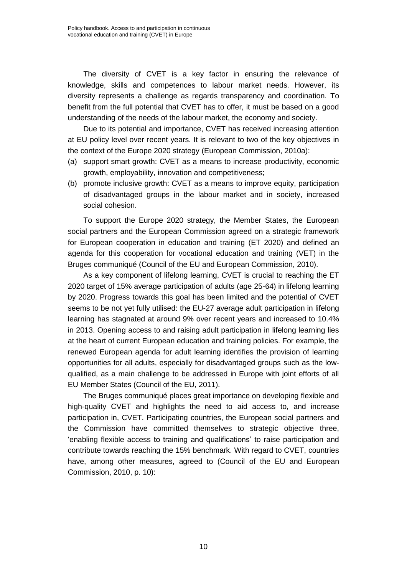The diversity of CVET is a key factor in ensuring the relevance of knowledge, skills and competences to labour market needs. However, its diversity represents a challenge as regards transparency and coordination. To benefit from the full potential that CVET has to offer, it must be based on a good understanding of the needs of the labour market, the economy and society.

Due to its potential and importance, CVET has received increasing attention at EU policy level over recent years. It is relevant to two of the key objectives in the context of the Europe 2020 strategy (European Commission, 2010a):

- (a) support smart growth: CVET as a means to increase productivity, economic growth, employability, innovation and competitiveness;
- (b) promote inclusive growth: CVET as a means to improve equity, participation of disadvantaged groups in the labour market and in society, increased social cohesion.

To support the Europe 2020 strategy, the Member States, the European social partners and the European Commission agreed on a strategic framework for European cooperation in education and training (ET 2020) and defined an agenda for this cooperation for vocational education and training (VET) in the Bruges communiqué (Council of the EU and European Commission, 2010).

As a key component of lifelong learning, CVET is crucial to reaching the ET 2020 target of 15% average participation of adults (age 25-64) in lifelong learning by 2020. Progress towards this goal has been limited and the potential of CVET seems to be not yet fully utilised: the EU-27 average adult participation in lifelong learning has stagnated at around 9% over recent years and increased to 10.4% in 2013. Opening access to and raising adult participation in lifelong learning lies at the heart of current European education and training policies. For example, the renewed European agenda for adult learning identifies the provision of learning opportunities for all adults, especially for disadvantaged groups such as the lowqualified, as a main challenge to be addressed in Europe with joint efforts of all EU Member States (Council of the EU, 2011).

The Bruges communiqué places great importance on developing flexible and high-quality CVET and highlights the need to aid access to, and increase participation in, CVET. Participating countries, the European social partners and the Commission have committed themselves to strategic objective three, 'enabling flexible access to training and qualifications' to raise participation and contribute towards reaching the 15% benchmark. With regard to CVET, countries have, among other measures, agreed to (Council of the EU and European Commission, 2010, p. 10):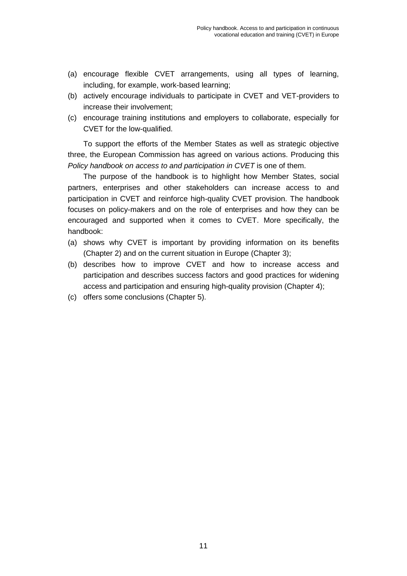- (a) encourage flexible CVET arrangements, using all types of learning, including, for example, work-based learning;
- (b) actively encourage individuals to participate in CVET and VET-providers to increase their involvement;
- (c) encourage training institutions and employers to collaborate, especially for CVET for the low-qualified.

To support the efforts of the Member States as well as strategic objective three, the European Commission has agreed on various actions. Producing this *Policy handbook on access to and participation in CVET* is one of them.

The purpose of the handbook is to highlight how Member States, social partners, enterprises and other stakeholders can increase access to and participation in CVET and reinforce high-quality CVET provision. The handbook focuses on policy-makers and on the role of enterprises and how they can be encouraged and supported when it comes to CVET. More specifically, the handbook:

- (a) shows why CVET is important by providing information on its benefits (Chapter 2) and on the current situation in Europe (Chapter 3);
- (b) describes how to improve CVET and how to increase access and participation and describes success factors and good practices for widening access and participation and ensuring high-quality provision (Chapter 4);
- (c) offers some conclusions (Chapter 5).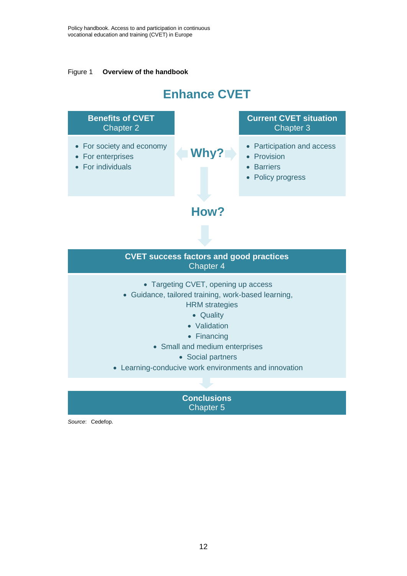<span id="page-17-0"></span>Figure 1 **Overview of the handbook**

# **Enhance CVET**



Chapter 5

*Source*: Cedefop.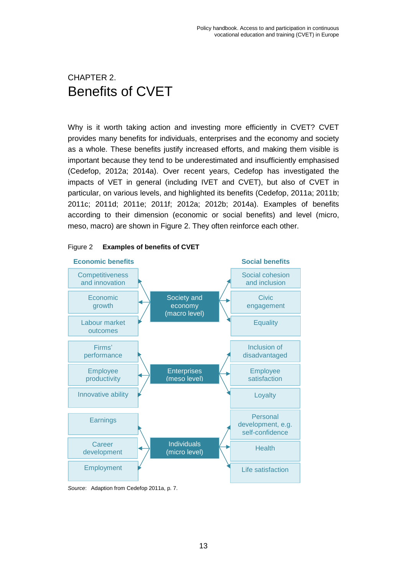# <span id="page-18-0"></span>CHAPTER 2. Benefits of CVET

Why is it worth taking action and investing more efficiently in CVET? CVET provides many benefits for individuals, enterprises and the economy and society as a whole. These benefits justify increased efforts, and making them visible is important because they tend to be underestimated and insufficiently emphasised (Cedefop, 2012a; 2014a). Over recent years, Cedefop has investigated the impacts of VET in general (including IVET and CVET), but also of CVET in particular, on various levels, and highlighted its benefits (Cedefop, 2011a; 2011b; 2011c; 2011d; 2011e; 2011f; 2012a; 2012b; 2014a). Examples of benefits according to their dimension (economic or social benefits) and level (micro, meso, macro) are shown in Figure 2. They often reinforce each other.



#### <span id="page-18-1"></span>Figure 2 **Examples of benefits of CVET**

*Source*: Adaption from Cedefop 2011a, p. 7.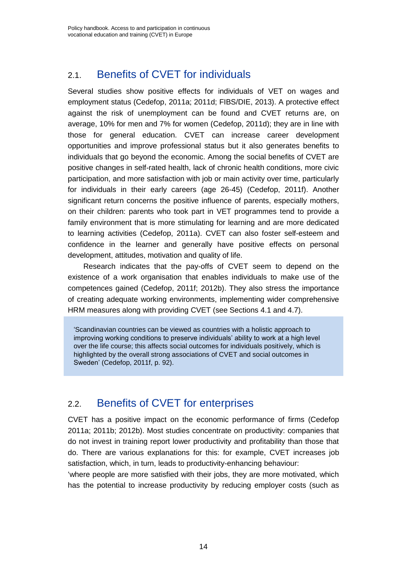### <span id="page-19-0"></span>2.1. Benefits of CVET for individuals

Several studies show positive effects for individuals of VET on wages and employment status (Cedefop, 2011a; 2011d; FIBS/DIE, 2013). A protective effect against the risk of unemployment can be found and CVET returns are, on average, 10% for men and 7% for women (Cedefop, 2011d); they are in line with those for general education. CVET can increase career development opportunities and improve professional status but it also generates benefits to individuals that go beyond the economic. Among the social benefits of CVET are positive changes in self-rated health, lack of chronic health conditions, more civic participation, and more satisfaction with job or main activity over time, particularly for individuals in their early careers (age 26-45) (Cedefop, 2011f). Another significant return concerns the positive influence of parents, especially mothers, on their children: parents who took part in VET programmes tend to provide a family environment that is more stimulating for learning and are more dedicated to learning activities (Cedefop, 2011a). CVET can also foster self-esteem and confidence in the learner and generally have positive effects on personal development, attitudes, motivation and quality of life.

Research indicates that the pay-offs of CVET seem to depend on the existence of a work organisation that enables individuals to make use of the competences gained (Cedefop, 2011f; 2012b). They also stress the importance of creating adequate working environments, implementing wider comprehensive HRM measures along with providing CVET (see Sections 4.1 and 4.7).

'Scandinavian countries can be viewed as countries with a holistic approach to improving working conditions to preserve individuals' ability to work at a high level over the life course; this affects social outcomes for individuals positively, which is highlighted by the overall strong associations of CVET and social outcomes in Sweden' (Cedefop, 2011f, p. 92).

### <span id="page-19-1"></span>2.2. Benefits of CVET for enterprises

CVET has a positive impact on the economic performance of firms (Cedefop 2011a; 2011b; 2012b). Most studies concentrate on productivity: companies that do not invest in training report lower productivity and profitability than those that do. There are various explanations for this: for example, CVET increases job satisfaction, which, in turn, leads to productivity-enhancing behaviour:

'where people are more satisfied with their jobs, they are more motivated, which has the potential to increase productivity by reducing employer costs (such as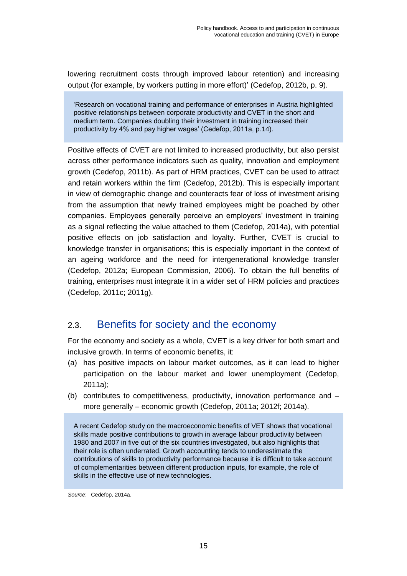lowering recruitment costs through improved labour retention) and increasing output (for example, by workers putting in more effort)' (Cedefop, 2012b, p. 9).

'Research on vocational training and performance of enterprises in Austria highlighted positive relationships between corporate productivity and CVET in the short and medium term. Companies doubling their investment in training increased their productivity by 4% and pay higher wages' (Cedefop, 2011a, p.14).

Positive effects of CVET are not limited to increased productivity, but also persist across other performance indicators such as quality, innovation and employment growth (Cedefop, 2011b). As part of HRM practices, CVET can be used to attract and retain workers within the firm (Cedefop, 2012b). This is especially important in view of demographic change and counteracts fear of loss of investment arising from the assumption that newly trained employees might be poached by other companies. Employees generally perceive an employers' investment in training as a signal reflecting the value attached to them (Cedefop, 2014a), with potential positive effects on job satisfaction and loyalty. Further, CVET is crucial to knowledge transfer in organisations; this is especially important in the context of an ageing workforce and the need for intergenerational knowledge transfer (Cedefop, 2012a; European Commission, 2006). To obtain the full benefits of training, enterprises must integrate it in a wider set of HRM policies and practices (Cedefop, 2011c; 2011g).

### <span id="page-20-0"></span>2.3. Benefits for society and the economy

For the economy and society as a whole, CVET is a key driver for both smart and inclusive growth. In terms of economic benefits, it:

- (a) has positive impacts on labour market outcomes, as it can lead to higher participation on the labour market and lower unemployment (Cedefop, 2011a);
- (b) contributes to competitiveness, productivity, innovation performance and more generally – economic growth (Cedefop, 2011a; 2012f; 2014a).

A recent Cedefop study on the macroeconomic benefits of VET shows that vocational skills made positive contributions to growth in average labour productivity between 1980 and 2007 in five out of the six countries investigated, but also highlights that their role is often underrated. Growth accounting tends to underestimate the contributions of skills to productivity performance because it is difficult to take account of complementarities between different production inputs, for example, the role of skills in the effective use of new technologies.

*Source*: Cedefop, 2014a.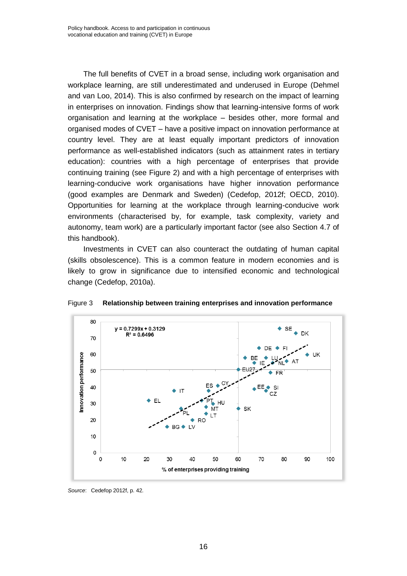The full benefits of CVET in a broad sense, including work organisation and workplace learning, are still underestimated and underused in Europe (Dehmel and van Loo, 2014). This is also confirmed by research on the impact of learning in enterprises on innovation. Findings show that learning-intensive forms of work organisation and learning at the workplace – besides other, more formal and organised modes of CVET – have a positive impact on innovation performance at country level. They are at least equally important predictors of innovation performance as well-established indicators (such as attainment rates in tertiary education): countries with a high percentage of enterprises that provide continuing training (see Figure 2) and with a high percentage of enterprises with learning-conducive work organisations have higher innovation performance (good examples are Denmark and Sweden) (Cedefop, 2012f; OECD, 2010). Opportunities for learning at the workplace through learning-conducive work environments (characterised by, for example, task complexity, variety and autonomy, team work) are a particularly important factor (see also Section 4.7 of this handbook).

Investments in CVET can also counteract the outdating of human capital (skills obsolescence). This is a common feature in modern economies and is likely to grow in significance due to intensified economic and technological change (Cedefop, 2010a).



<span id="page-21-0"></span>Figure 3 **Relationship between training enterprises and innovation performance** 

*Source*: Cedefop 2012f, p. 42.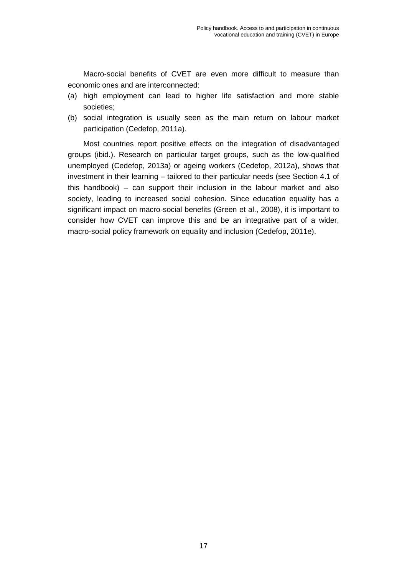Macro-social benefits of CVET are even more difficult to measure than economic ones and are interconnected:

- (a) high employment can lead to higher life satisfaction and more stable societies;
- (b) social integration is usually seen as the main return on labour market participation (Cedefop, 2011a).

Most countries report positive effects on the integration of disadvantaged groups (ibid.). Research on particular target groups, such as the low-qualified unemployed (Cedefop, 2013a) or ageing workers (Cedefop, 2012a), shows that investment in their learning – tailored to their particular needs (see Section 4.1 of this handbook) – can support their inclusion in the labour market and also society, leading to increased social cohesion. Since education equality has a significant impact on macro-social benefits (Green et al., 2008), it is important to consider how CVET can improve this and be an integrative part of a wider, macro-social policy framework on equality and inclusion (Cedefop, 2011e).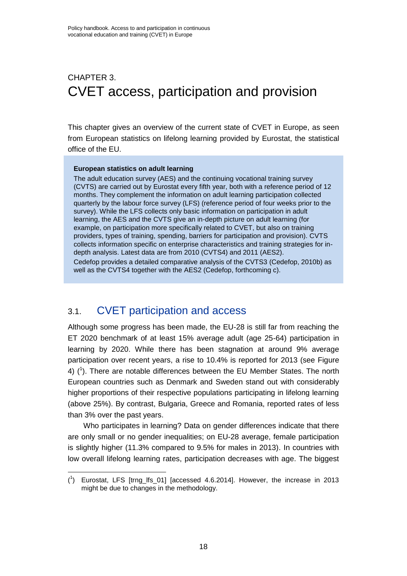# <span id="page-23-0"></span>CHAPTER 3. CVET access, participation and provision

This chapter gives an overview of the current state of CVET in Europe, as seen from European statistics on lifelong learning provided by Eurostat, the statistical office of the EU.

#### **European statistics on adult learning**

The adult education survey (AES) and the continuing vocational training survey (CVTS) are carried out by Eurostat every fifth year, both with a reference period of 12 months. They complement the information on adult learning participation collected quarterly by the labour force survey (LFS) (reference period of four weeks prior to the survey). While the LFS collects only basic information on participation in adult learning, the AES and the CVTS give an in-depth picture on adult learning (for example, on participation more specifically related to CVET, but also on training providers, types of training, spending, barriers for participation and provision). CVTS collects information specific on enterprise characteristics and training strategies for indepth analysis. Latest data are from 2010 (CVTS4) and 2011 (AES2). Cedefop provides a detailed comparative analysis of the CVTS3 (Cedefop, 2010b) as well as the CVTS4 together with the AES2 (Cedefop, forthcoming c).

### <span id="page-23-1"></span>3.1. CVET participation and access

l

Although some progress has been made, the EU-28 is still far from reaching the ET 2020 benchmark of at least 15% average adult (age 25-64) participation in learning by 2020. While there has been stagnation at around 9% average participation over recent years, a rise to 10.4% is reported for 2013 (see Figure 4)  $(1)$ . There are notable differences between the EU Member States. The north European countries such as Denmark and Sweden stand out with considerably higher proportions of their respective populations participating in lifelong learning (above 25%). By contrast, Bulgaria, Greece and Romania, reported rates of less than 3% over the past years.

Who participates in learning? Data on gender differences indicate that there are only small or no gender inequalities; on EU-28 average, female participation is slightly higher (11.3% compared to 9.5% for males in 2013). In countries with low overall lifelong learning rates, participation decreases with age. The biggest

<sup>(</sup> 1 ) Eurostat, LFS [trng\_lfs\_01] [accessed 4.6.2014]. However, the increase in 2013 might be due to changes in the methodology.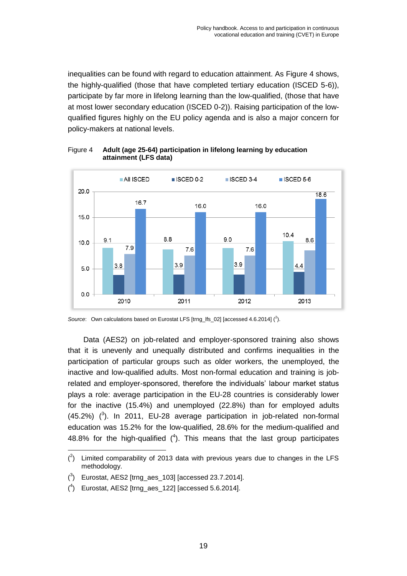inequalities can be found with regard to education attainment. As Figure 4 shows, the highly-qualified (those that have completed tertiary education (ISCED 5-6)), participate by far more in lifelong learning than the low-qualified, (those that have at most lower secondary education (ISCED 0-2)). Raising participation of the lowqualified figures highly on the EU policy agenda and is also a major concern for policy-makers at national levels.



<span id="page-24-0"></span>Figure 4 **Adult (age 25-64) participation in lifelong learning by education attainment (LFS data)**

Data (AES2) on job-related and employer-sponsored training also shows that it is unevenly and unequally distributed and confirms inequalities in the participation of particular groups such as older workers, the unemployed, the inactive and low-qualified adults. Most non-formal education and training is jobrelated and employer-sponsored, therefore the individuals' labour market status plays a role: average participation in the EU-28 countries is considerably lower for the inactive (15.4%) and unemployed (22.8%) than for employed adults  $(45.2%)$   $(^3)$ . In 2011, EU-28 average participation in job-related non-formal education was 15.2% for the low-qualified, 28.6% for the medium-qualified and 48.8% for the high-qualified  $(4)$ . This means that the last group participates

Source: Own calculations based on Eurostat LFS [trng\_lfs\_02] [accessed 4.6.2014] (<sup>2</sup>).

l  $(2)$  Limited comparability of 2013 data with previous years due to changes in the LFS methodology.

 $\binom{3}{2}$  Eurostat, AES2 [trng\_aes\_103] [accessed 23.7.2014].

 $(^4)$  Eurostat, AES2 [trng\_aes\_122] [accessed 5.6.2014].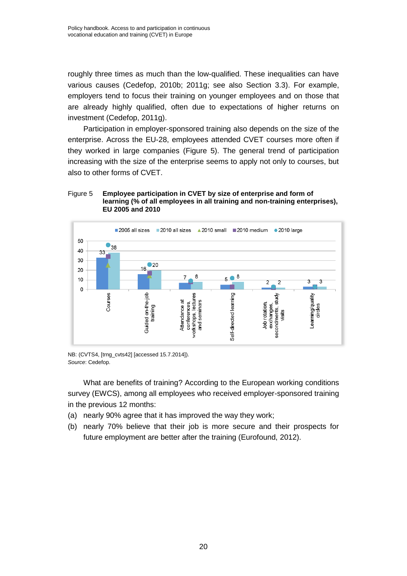roughly three times as much than the low-qualified. These inequalities can have various causes (Cedefop, 2010b; 2011g; see also Section 3.3). For example, employers tend to focus their training on younger employees and on those that are already highly qualified, often due to expectations of higher returns on investment (Cedefop, 2011g).

Participation in employer-sponsored training also depends on the size of the enterprise. Across the EU-28, employees attended CVET courses more often if they worked in large companies (Figure 5). The general trend of participation increasing with the size of the enterprise seems to apply not only to courses, but also to other forms of CVET.

#### <span id="page-25-0"></span>Figure 5 **Employee participation in CVET by size of enterprise and form of learning (% of all employees in all training and non-training enterprises), EU 2005 and 2010**



NB: (CVTS4, [trng\_cvts42] [accessed 15.7.2014]). *Source*: Cedefop.

What are benefits of training? According to the European working conditions survey (EWCS), among all employees who received employer-sponsored training in the previous 12 months:

- (a) nearly 90% agree that it has improved the way they work;
- (b) nearly 70% believe that their job is more secure and their prospects for future employment are better after the training (Eurofound, 2012).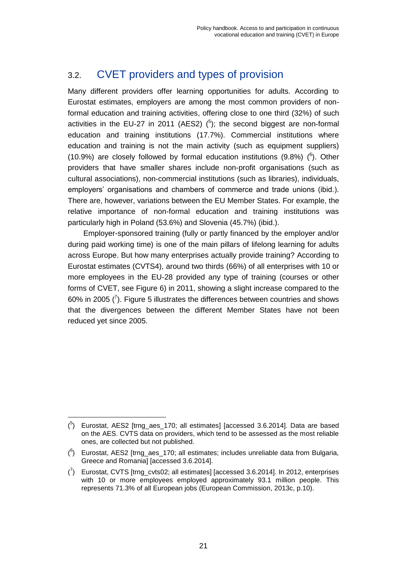# <span id="page-26-0"></span>3.2. CVET providers and types of provision

Many different providers offer learning opportunities for adults. According to Eurostat estimates, employers are among the most common providers of nonformal education and training activities, offering close to one third (32%) of such activities in the EU-27 in 2011 (AES2)  $(5)$ ; the second biggest are non-formal education and training institutions (17.7%). Commercial institutions where education and training is not the main activity (such as equipment suppliers) (10.9%) are closely followed by formal education institutions (9.8%)  $(^6)$ . Other providers that have smaller shares include non-profit organisations (such as cultural associations), non-commercial institutions (such as libraries), individuals, employers' organisations and chambers of commerce and trade unions (ibid.). There are, however, variations between the EU Member States. For example, the relative importance of non-formal education and training institutions was particularly high in Poland (53.6%) and Slovenia (45.7%) (ibid.).

Employer-sponsored training (fully or partly financed by the employer and/or during paid working time) is one of the main pillars of lifelong learning for adults across Europe. But how many enterprises actually provide training? According to Eurostat estimates (CVTS4), around two thirds (66%) of all enterprises with 10 or more employees in the EU-28 provided any type of training (courses or other forms of CVET, see Figure 6) in 2011, showing a slight increase compared to the 60% in 2005  $\binom{7}{1}$ . Figure 5 illustrates the differences between countries and shows that the divergences between the different Member States have not been reduced yet since 2005.

l  $(5)$  Eurostat, AES2 [trng\_aes\_170; all estimates] [accessed 3.6.2014]. Data are based on the AES. CVTS data on providers, which tend to be assessed as the most reliable ones, are collected but not published.

 $(6)$  Eurostat, AES2 [trng\_aes\_170; all estimates; includes unreliable data from Bulgaria, Greece and Romania] [accessed 3.6.2014].

 $\binom{7}{1}$  Eurostat, CVTS [trng\_cvts02; all estimates] [accessed 3.6.2014]. In 2012, enterprises with 10 or more employees employed approximately 93.1 million people. This represents 71.3% of all European jobs (European Commission, 2013c, p.10).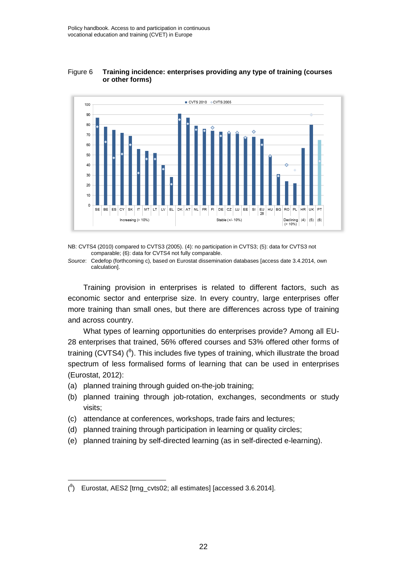

<span id="page-27-0"></span>Figure 6 **Training incidence: enterprises providing any type of training (courses or other forms)** 

NB: CVTS4 (2010) compared to CVTS3 (2005). (4): no participation in CVTS3; (5): data for CVTS3 not comparable; (6): data for CVTS4 not fully comparable.

*Source*: Cedefop (forthcoming c), based on Eurostat dissemination databases [access date 3.4.2014, own calculation].

Training provision in enterprises is related to different factors, such as economic sector and enterprise size. In every country, large enterprises offer more training than small ones, but there are differences across type of training and across country.

What types of learning opportunities do enterprises provide? Among all EU-28 enterprises that trained, 56% offered courses and 53% offered other forms of training (CVTS4)  $(^{8})$ . This includes five types of training, which illustrate the broad spectrum of less formalised forms of learning that can be used in enterprises (Eurostat, 2012):

- (a) planned training through guided on-the-job training;
- (b) planned training through job-rotation, exchanges, secondments or study visits;
- (c) attendance at conferences, workshops, trade fairs and lectures;
- (d) planned training through participation in learning or quality circles;
- (e) planned training by self-directed learning (as in self-directed e-learning).

l

 $(^{8})$  Eurostat, AES2 [trng\_cvts02; all estimates] [accessed 3.6.2014].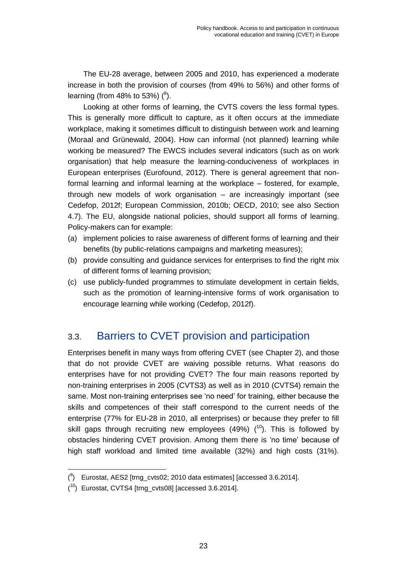The EU-28 average, between 2005 and 2010, has experienced a moderate increase in both the provision of courses (from 49% to 56%) and other forms of learning (from 48% to 53%)  $(9)$ .

Looking at other forms of learning, the CVTS covers the less formal types. This is generally more difficult to capture, as it often occurs at the immediate workplace, making it sometimes difficult to distinguish between work and learning (Moraal and Grünewald, 2004). How can informal (not planned) learning while working be measured? The EWCS includes several indicators (such as on work organisation) that help measure the learning-conduciveness of workplaces in European enterprises (Eurofound, 2012). There is general agreement that nonformal learning and informal learning at the workplace – fostered, for example, through new models of work organisation – are increasingly important (see Cedefop, 2012f; European Commission, 2010b; OECD, 2010; see also Section 4.7). The EU, alongside national policies, should support all forms of learning. Policy-makers can for example:

- (a) implement policies to raise awareness of different forms of learning and their benefits (by public-relations campaigns and marketing measures);
- (b) provide consulting and guidance services for enterprises to find the right mix of different forms of learning provision;
- (c) use publicly-funded programmes to stimulate development in certain fields, such as the promotion of learning-intensive forms of work organisation to encourage learning while working (Cedefop, 2012f).

# <span id="page-28-0"></span>3.3. Barriers to CVET provision and participation

Enterprises benefit in many ways from offering CVET (see Chapter 2), and those that do not provide CVET are waiving possible returns. What reasons do enterprises have for not providing CVET? The four main reasons reported by non-training enterprises in 2005 (CVTS3) as well as in 2010 (CVTS4) remain the same. Most non-training enterprises see 'no need' for training, either because the skills and competences of their staff correspond to the current needs of the enterprise (77% for EU-28 in 2010, all enterprises) or because they prefer to fill skill gaps through recruiting new employees (49%)  $(10)$ . This is followed by obstacles hindering CVET provision. Among them there is 'no time' because of high staff workload and limited time available (32%) and high costs (31%).

l  $(3)$  Eurostat, AES2 [trng\_cvts02; 2010 data estimates] [accessed 3.6.2014].

 $(10)$  Eurostat, CVTS4 [trng\_cvts08] [accessed 3.6.2014].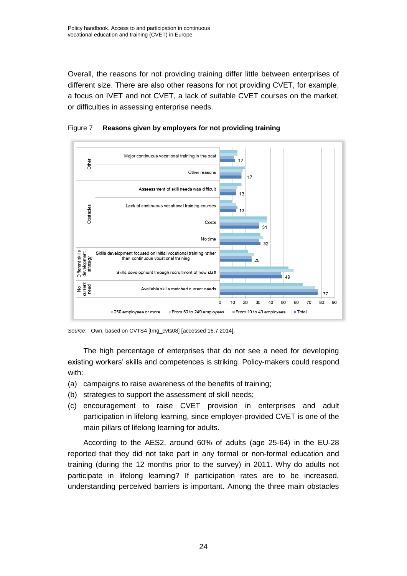Overall, the reasons for not providing training differ little between enterprises of different size. There are also other reasons for not providing CVET, for example, a focus on IVET and not CVET, a lack of suitable CVET courses on the market, or difficulties in assessing enterprise needs.



<span id="page-29-0"></span>Figure 7 **Reasons given by employers for not providing training**

*Source*: Own, based on CVTS4 [trng\_cvts08] [accessed 16.7.2014].

The high percentage of enterprises that do not see a need for developing existing workers' skills and competences is striking. Policy-makers could respond with:

- (a) campaigns to raise awareness of the benefits of training;
- (b) strategies to support the assessment of skill needs;
- (c) encouragement to raise CVET provision in enterprises and adult participation in lifelong learning, since employer-provided CVET is one of the main pillars of lifelong learning for adults.

According to the AES2, around 60% of adults (age 25-64) in the EU-28 reported that they did not take part in any formal or non-formal education and training (during the 12 months prior to the survey) in 2011. Why do adults not participate in lifelong learning? If participation rates are to be increased, understanding perceived barriers is important. Among the three main obstacles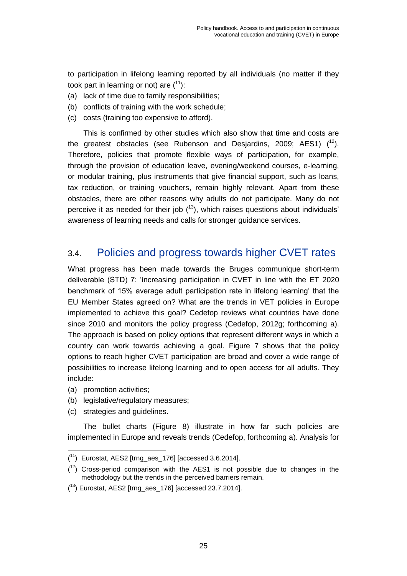to participation in lifelong learning reported by all individuals (no matter if they took part in learning or not) are  $(^{11})$ :

- (a) lack of time due to family responsibilities;
- (b) conflicts of training with the work schedule;
- (c) costs (training too expensive to afford).

This is confirmed by other studies which also show that time and costs are the greatest obstacles (see Rubenson and Desjardins, 2009; AES1)  $(^{12})$ . Therefore, policies that promote flexible ways of participation, for example, through the provision of education leave, evening/weekend courses, e-learning, or modular training, plus instruments that give financial support, such as loans, tax reduction, or training vouchers, remain highly relevant. Apart from these obstacles, there are other reasons why adults do not participate. Many do not perceive it as needed for their job  $(^{13})$ , which raises questions about individuals' awareness of learning needs and calls for stronger guidance services.

### <span id="page-30-0"></span>3.4. Policies and progress towards higher CVET rates

What progress has been made towards the Bruges communique short-term deliverable (STD) 7: 'increasing participation in CVET in line with the ET 2020 benchmark of 15% average adult participation rate in lifelong learning' that the EU Member States agreed on? What are the trends in VET policies in Europe implemented to achieve this goal? Cedefop reviews what countries have done since 2010 and monitors the policy progress (Cedefop, 2012g; forthcoming a). The approach is based on policy options that represent different ways in which a country can work towards achieving a goal. Figure 7 shows that the policy options to reach higher CVET participation are broad and cover a wide range of possibilities to increase lifelong learning and to open access for all adults. They include:

(a) promotion activities;

l

- (b) legislative/regulatory measures;
- (c) strategies and guidelines.

The bullet charts (Figure 8) illustrate in how far such policies are implemented in Europe and reveals trends (Cedefop, forthcoming a). Analysis for

 $(11)$  Eurostat, AES2 [trng\_aes\_176] [accessed 3.6.2014].

 $(1<sup>2</sup>)$  Cross-period comparison with the AES1 is not possible due to changes in the methodology but the trends in the perceived barriers remain.

 $(13)$  Eurostat, AES2 [trng\_aes\_176] [accessed 23.7.2014].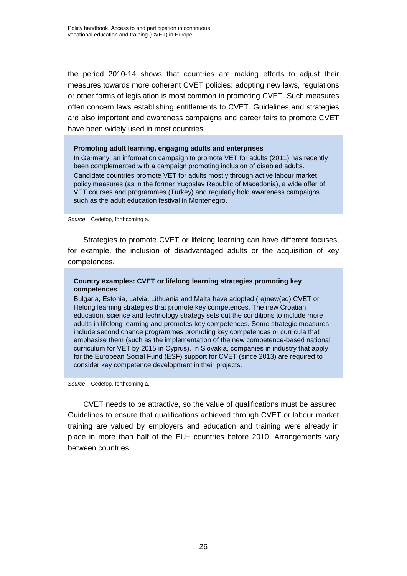the period 2010-14 shows that countries are making efforts to adjust their measures towards more coherent CVET policies: adopting new laws, regulations or other forms of legislation is most common in promoting CVET. Such measures often concern laws establishing entitlements to CVET. Guidelines and strategies are also important and awareness campaigns and career fairs to promote CVET have been widely used in most countries.

#### **Promoting adult learning, engaging adults and enterprises**

In Germany, an information campaign to promote VET for adults (2011) has recently been complemented with a campaign promoting inclusion of disabled adults. Candidate countries promote VET for adults mostly through active labour market policy measures (as in the former Yugoslav Republic of Macedonia), a wide offer of VET courses and programmes (Turkey) and regularly hold awareness campaigns such as the adult education festival in Montenegro.

*Source*: Cedefop, forthcoming a.

Strategies to promote CVET or lifelong learning can have different focuses, for example, the inclusion of disadvantaged adults or the acquisition of key competences.

#### **Country examples: CVET or lifelong learning strategies promoting key competences**

Bulgaria, Estonia, Latvia, Lithuania and Malta have adopted (re)new(ed) CVET or lifelong learning strategies that promote key competences. The new Croatian education, science and technology strategy sets out the conditions to include more adults in lifelong learning and promotes key competences. Some strategic measures include second chance programmes promoting key competences or curricula that emphasise them (such as the implementation of the new competence-based national curriculum for VET by 2015 in Cyprus). In Slovakia, companies in industry that apply for the European Social Fund (ESF) support for CVET (since 2013) are required to consider key competence development in their projects.

*Source*: Cedefop, forthcoming a.

CVET needs to be attractive, so the value of qualifications must be assured. Guidelines to ensure that qualifications achieved through CVET or labour market training are valued by employers and education and training were already in place in more than half of the EU+ countries before 2010. Arrangements vary between countries.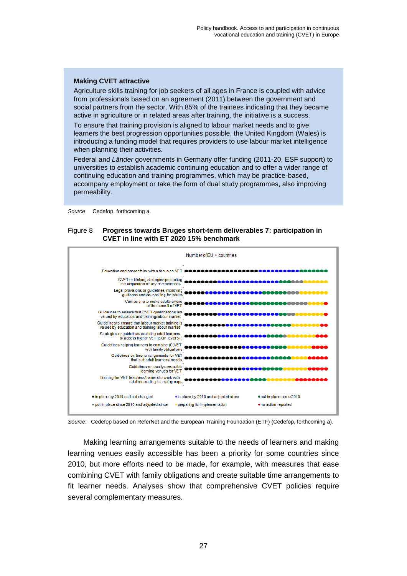#### **Making CVET attractive**

Agriculture skills training for job seekers of all ages in France is coupled with advice from professionals based on an agreement (2011) between the government and social partners from the sector. With 85% of the trainees indicating that they became active in agriculture or in related areas after training, the initiative is a success.

To ensure that training provision is aligned to labour market needs and to give learners the best progression opportunities possible, the United Kingdom (Wales) is introducing a funding model that requires providers to use labour market intelligence when planning their activities.

Federal and *Länder* governments in Germany offer funding (2011-20, ESF support) to universities to establish academic continuing education and to offer a wider range of continuing education and training programmes, which may be practice-based, accompany employment or take the form of dual study programmes, also improving permeability.

<span id="page-32-0"></span>*Source* Cedefop, forthcoming a.

#### Figure 8 **Progress towards Bruges short-term deliverables 7: participation in CVET in line with ET 2020 15% benchmark**





Making learning arrangements suitable to the needs of learners and making learning venues easily accessible has been a priority for some countries since 2010, but more efforts need to be made, for example, with measures that ease combining CVET with family obligations and create suitable time arrangements to fit learner needs. Analyses show that comprehensive CVET policies require several complementary measures.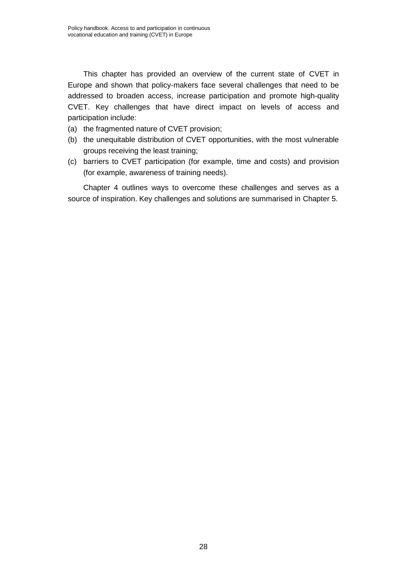This chapter has provided an overview of the current state of CVET in Europe and shown that policy-makers face several challenges that need to be addressed to broaden access, increase participation and promote high-quality CVET. Key challenges that have direct impact on levels of access and participation include:

- (a) the fragmented nature of CVET provision;
- (b) the unequitable distribution of CVET opportunities, with the most vulnerable groups receiving the least training;
- (c) barriers to CVET participation (for example, time and costs) and provision (for example, awareness of training needs).

Chapter 4 outlines ways to overcome these challenges and serves as a source of inspiration. Key challenges and solutions are summarised in Chapter 5.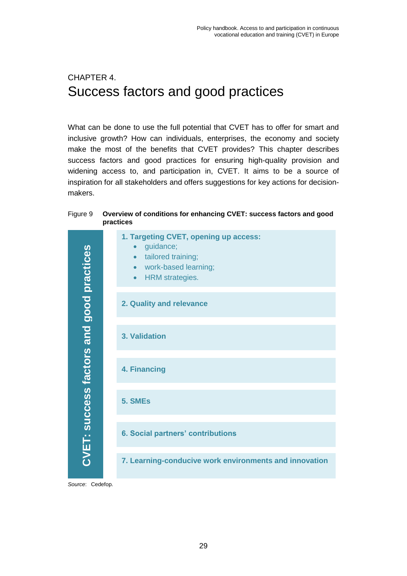# <span id="page-34-0"></span>CHAPTER 4. Success factors and good practices

What can be done to use the full potential that CVET has to offer for smart and inclusive growth? How can individuals, enterprises, the economy and society make the most of the benefits that CVET provides? This chapter describes success factors and good practices for ensuring high-quality provision and widening access to, and participation in, CVET. It aims to be a source of inspiration for all stakeholders and offers suggestions for key actions for decisionmakers.

#### <span id="page-34-1"></span>Figure 9 **Overview of conditions for enhancing CVET: success factors and good practices**

| CVET: success factors and good practices | 1. Targeting CVET, opening up access:<br>guidance;<br>$\bullet$<br>tailored training;<br>$\bullet$<br>work-based learning;<br>$\bullet$<br><b>HRM</b> strategies.<br>$\bullet$ |
|------------------------------------------|--------------------------------------------------------------------------------------------------------------------------------------------------------------------------------|
|                                          | 2. Quality and relevance                                                                                                                                                       |
|                                          | 3. Validation                                                                                                                                                                  |
|                                          | 4. Financing                                                                                                                                                                   |
|                                          | 5. SMEs                                                                                                                                                                        |
|                                          | <b>6. Social partners' contributions</b>                                                                                                                                       |
|                                          | 7. Learning-conducive work environments and innovation                                                                                                                         |
| Source: Cedefop.                         |                                                                                                                                                                                |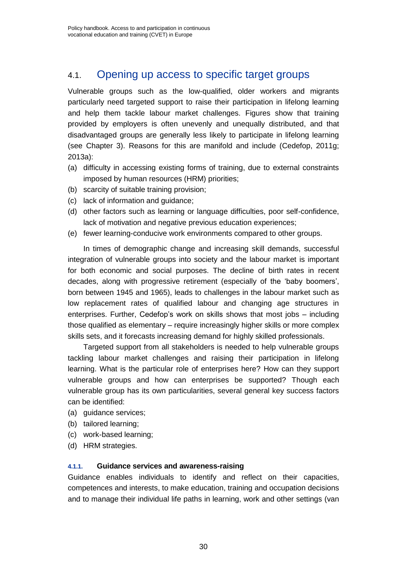### <span id="page-35-0"></span>4.1. Opening up access to specific target groups

Vulnerable groups such as the low-qualified, older workers and migrants particularly need targeted support to raise their participation in lifelong learning and help them tackle labour market challenges. Figures show that training provided by employers is often unevenly and unequally distributed, and that disadvantaged groups are generally less likely to participate in lifelong learning (see Chapter 3). Reasons for this are manifold and include (Cedefop, 2011g; 2013a):

- (a) difficulty in accessing existing forms of training, due to external constraints imposed by human resources (HRM) priorities;
- (b) scarcity of suitable training provision;
- (c) lack of information and guidance;
- (d) other factors such as learning or language difficulties, poor self-confidence, lack of motivation and negative previous education experiences;
- (e) fewer learning-conducive work environments compared to other groups.

In times of demographic change and increasing skill demands, successful integration of vulnerable groups into society and the labour market is important for both economic and social purposes. The decline of birth rates in recent decades, along with progressive retirement (especially of the 'baby boomers', born between 1945 and 1965), leads to challenges in the labour market such as low replacement rates of qualified labour and changing age structures in enterprises. Further, Cedefop's work on skills shows that most jobs – including those qualified as elementary – require increasingly higher skills or more complex skills sets, and it forecasts increasing demand for highly skilled professionals.

Targeted support from all stakeholders is needed to help vulnerable groups tackling labour market challenges and raising their participation in lifelong learning. What is the particular role of enterprises here? How can they support vulnerable groups and how can enterprises be supported? Though each vulnerable group has its own particularities, several general key success factors can be identified:

- (a) guidance services;
- (b) tailored learning;
- (c) work-based learning;
- <span id="page-35-1"></span>(d) HRM strategies.

#### **4.1.1. Guidance services and awareness-raising**

Guidance enables individuals to identify and reflect on their capacities, competences and interests, to make education, training and occupation decisions and to manage their individual life paths in learning, work and other settings (van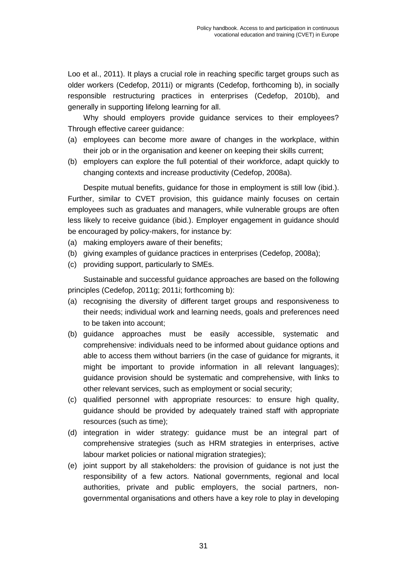Loo et al., 2011). It plays a crucial role in reaching specific target groups such as older workers (Cedefop, 2011i) or migrants (Cedefop, forthcoming b), in socially responsible restructuring practices in enterprises (Cedefop, 2010b), and generally in supporting lifelong learning for all.

Why should employers provide guidance services to their employees? Through effective career guidance:

- (a) employees can become more aware of changes in the workplace, within their job or in the organisation and keener on keeping their skills current;
- (b) employers can explore the full potential of their workforce, adapt quickly to changing contexts and increase productivity (Cedefop, 2008a).

Despite mutual benefits, guidance for those in employment is still low (ibid.). Further, similar to CVET provision, this guidance mainly focuses on certain employees such as graduates and managers, while vulnerable groups are often less likely to receive guidance (ibid.). Employer engagement in guidance should be encouraged by policy-makers, for instance by:

- (a) making employers aware of their benefits;
- (b) giving examples of guidance practices in enterprises (Cedefop, 2008a);
- (c) providing support, particularly to SMEs.

Sustainable and successful guidance approaches are based on the following principles (Cedefop, 2011g; 2011i; forthcoming b):

- (a) recognising the diversity of different target groups and responsiveness to their needs; individual work and learning needs, goals and preferences need to be taken into account;
- (b) guidance approaches must be easily accessible, systematic and comprehensive: individuals need to be informed about guidance options and able to access them without barriers (in the case of guidance for migrants, it might be important to provide information in all relevant languages); guidance provision should be systematic and comprehensive, with links to other relevant services, such as employment or social security;
- (c) qualified personnel with appropriate resources: to ensure high quality, guidance should be provided by adequately trained staff with appropriate resources (such as time);
- (d) integration in wider strategy: guidance must be an integral part of comprehensive strategies (such as HRM strategies in enterprises, active labour market policies or national migration strategies);
- (e) joint support by all stakeholders: the provision of guidance is not just the responsibility of a few actors. National governments, regional and local authorities, private and public employers, the social partners, nongovernmental organisations and others have a key role to play in developing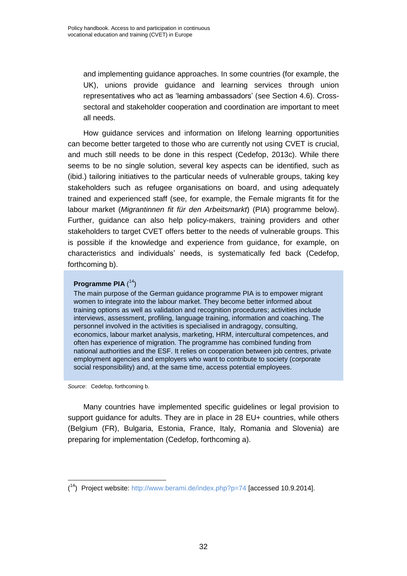and implementing guidance approaches. In some countries (for example, the UK), unions provide guidance and learning services through union representatives who act as 'learning ambassadors' (see Section 4.6). Crosssectoral and stakeholder cooperation and coordination are important to meet all needs.

How guidance services and information on lifelong learning opportunities can become better targeted to those who are currently not using CVET is crucial, and much still needs to be done in this respect (Cedefop, 2013c). While there seems to be no single solution, several key aspects can be identified, such as (ibid.) tailoring initiatives to the particular needs of vulnerable groups, taking key stakeholders such as refugee organisations on board, and using adequately trained and experienced staff (see, for example, the Female migrants fit for the labour market (*Migrantinnen fit für den Arbeitsmarkt*) (PIA) programme below). Further, guidance can also help policy-makers, training providers and other stakeholders to target CVET offers better to the needs of vulnerable groups. This is possible if the knowledge and experience from guidance, for example, on characteristics and individuals' needs, is systematically fed back (Cedefop, forthcoming b).

## **Programme PIA** ( 14)

The main purpose of the German guidance programme PIA is to empower migrant women to integrate into the labour market. They become better informed about training options as well as validation and recognition procedures; activities include interviews, assessment, profiling, language training, information and coaching. The personnel involved in the activities is specialised in andragogy, consulting, economics, labour market analysis, marketing, HRM, intercultural competences, and often has experience of migration. The programme has combined funding from national authorities and the ESF. It relies on cooperation between job centres, private employment agencies and employers who want to contribute to society (corporate social responsibility) and, at the same time, access potential employees.

*Source*: Cedefop, forthcoming b.

l

Many countries have implemented specific guidelines or legal provision to support guidance for adults. They are in place in 28 EU+ countries, while others (Belgium (FR), Bulgaria, Estonia, France, Italy, Romania and Slovenia) are preparing for implementation (Cedefop, forthcoming a).

<sup>(&</sup>lt;sup>14</sup>) Project website:<http://www.berami.de/index.php?p=74> [accessed 10.9.2014].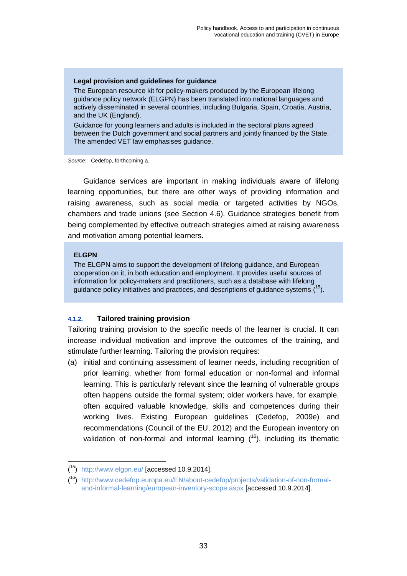## **Legal provision and guidelines for guidance**

The European resource kit for policy-makers produced by the European lifelong guidance policy network (ELGPN) has been translated into national languages and actively disseminated in several countries, including Bulgaria, Spain, Croatia, Austria, and the UK (England).

Guidance for young learners and adults is included in the sectoral plans agreed between the Dutch government and social partners and jointly financed by the State. The amended VET law emphasises guidance.

*Source*: Cedefop, forthcoming a.

Guidance services are important in making individuals aware of lifelong learning opportunities, but there are other ways of providing information and raising awareness, such as social media or targeted activities by NGOs, chambers and trade unions (see Section 4.6). Guidance strategies benefit from being complemented by effective outreach strategies aimed at raising awareness and motivation among potential learners.

## **ELGPN**

l

The ELGPN aims to support the development of lifelong guidance, and European cooperation on it, in both education and employment. It provides useful sources of information for policy-makers and practitioners, such as a database with lifelong guidance policy initiatives and practices, and descriptions of guidance systems  $(15)$ .

## **4.1.2. Tailored training provision**

Tailoring training provision to the specific needs of the learner is crucial. It can increase individual motivation and improve the outcomes of the training, and stimulate further learning. Tailoring the provision requires:

(a) initial and continuing assessment of learner needs, including recognition of prior learning, whether from formal education or non-formal and informal learning. This is particularly relevant since the learning of vulnerable groups often happens outside the formal system; older workers have, for example, often acquired valuable knowledge, skills and competences during their working lives. Existing European guidelines (Cedefop, 2009e) and recommendations (Council of the EU, 2012) and the European inventory on validation of non-formal and informal learning  $(^{16})$ , including its thematic

 $(15)$  <http://www.elgpn.eu/> [accessed 10.9.2014].

<sup>(</sup> <sup>16</sup>) [http://www.cedefop.europa.eu/EN/about-cedefop/projects/validation-of-non-formal](http://www.cedefop.europa.eu/EN/about-cedefop/projects/validation-of-non-formal-and-informal-learning/european-inventory-scope.aspx)[and-informal-learning/european-inventory-scope.aspx](http://www.cedefop.europa.eu/EN/about-cedefop/projects/validation-of-non-formal-and-informal-learning/european-inventory-scope.aspx) [accessed 10.9.2014].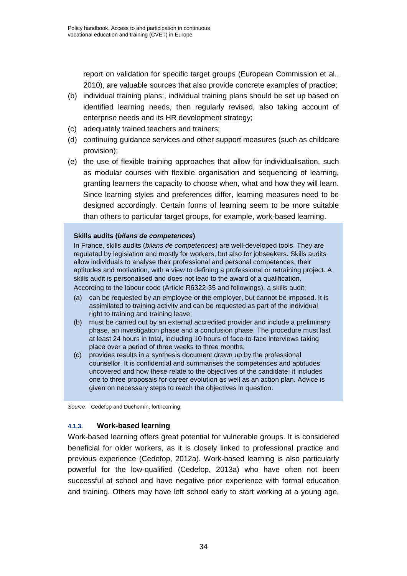report on validation for specific target groups (European Commission et al., 2010), are valuable sources that also provide concrete examples of practice;

- (b) individual training plans:, individual training plans should be set up based on identified learning needs, then regularly revised, also taking account of enterprise needs and its HR development strategy;
- (c) adequately trained teachers and trainers;
- (d) continuing guidance services and other support measures (such as childcare provision);
- (e) the use of flexible training approaches that allow for individualisation, such as modular courses with flexible organisation and sequencing of learning, granting learners the capacity to choose when, what and how they will learn. Since learning styles and preferences differ, learning measures need to be designed accordingly. Certain forms of learning seem to be more suitable than others to particular target groups, for example, work-based learning.

## **Skills audits (***bilans de competences***)**

In France, skills audits (*bilans de competences*) are well-developed tools. They are regulated by legislation and mostly for workers, but also for jobseekers. Skills audits allow individuals to analyse their professional and personal competences, their aptitudes and motivation, with a view to defining a professional or retraining project. A skills audit is personalised and does not lead to the award of a qualification.

According to the labour code (Article R6322-35 and followings), a skills audit:

- (a) can be requested by an employee or the employer, but cannot be imposed. It is assimilated to training activity and can be requested as part of the individual right to training and training leave;
- (b) must be carried out by an external accredited provider and include a preliminary phase, an investigation phase and a conclusion phase. The procedure must last at least 24 hours in total, including 10 hours of face-to-face interviews taking place over a period of three weeks to three months;
- (c) provides results in a synthesis document drawn up by the professional counsellor. It is confidential and summarises the competences and aptitudes uncovered and how these relate to the objectives of the candidate; it includes one to three proposals for career evolution as well as an action plan. Advice is given on necessary steps to reach the objectives in question.

*Source*: Cedefop and Duchemin, forthcoming.

## **4.1.3. Work-based learning**

Work-based learning offers great potential for vulnerable groups. It is considered beneficial for older workers, as it is closely linked to professional practice and previous experience (Cedefop, 2012a). Work-based learning is also particularly powerful for the low-qualified (Cedefop, 2013a) who have often not been successful at school and have negative prior experience with formal education and training. Others may have left school early to start working at a young age,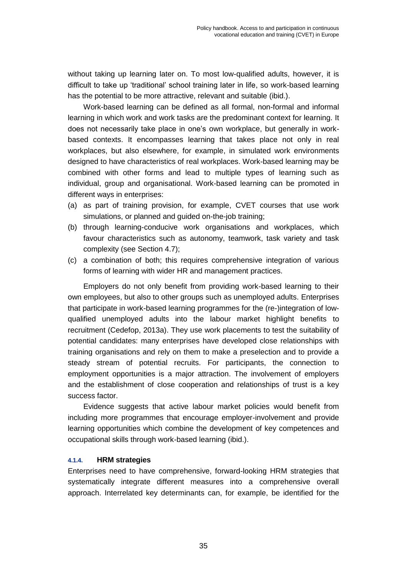without taking up learning later on. To most low-qualified adults, however, it is difficult to take up 'traditional' school training later in life, so work-based learning has the potential to be more attractive, relevant and suitable (ibid.).

Work-based learning can be defined as all formal, non-formal and informal learning in which work and work tasks are the predominant context for learning. It does not necessarily take place in one's own workplace, but generally in workbased contexts. It encompasses learning that takes place not only in real workplaces, but also elsewhere, for example, in simulated work environments designed to have characteristics of real workplaces. Work-based learning may be combined with other forms and lead to multiple types of learning such as individual, group and organisational. Work-based learning can be promoted in different ways in enterprises:

- (a) as part of training provision, for example, CVET courses that use work simulations, or planned and guided on-the-job training;
- (b) through learning-conducive work organisations and workplaces, which favour characteristics such as autonomy, teamwork, task variety and task complexity (see Section 4.7);
- (c) a combination of both; this requires comprehensive integration of various forms of learning with wider HR and management practices.

Employers do not only benefit from providing work-based learning to their own employees, but also to other groups such as unemployed adults. Enterprises that participate in work-based learning programmes for the (re-)integration of lowqualified unemployed adults into the labour market highlight benefits to recruitment (Cedefop, 2013a). They use work placements to test the suitability of potential candidates: many enterprises have developed close relationships with training organisations and rely on them to make a preselection and to provide a steady stream of potential recruits. For participants, the connection to employment opportunities is a major attraction. The involvement of employers and the establishment of close cooperation and relationships of trust is a key success factor.

Evidence suggests that active labour market policies would benefit from including more programmes that encourage employer-involvement and provide learning opportunities which combine the development of key competences and occupational skills through work-based learning (ibid.).

## **4.1.4. HRM strategies**

Enterprises need to have comprehensive, forward-looking HRM strategies that systematically integrate different measures into a comprehensive overall approach. Interrelated key determinants can, for example, be identified for the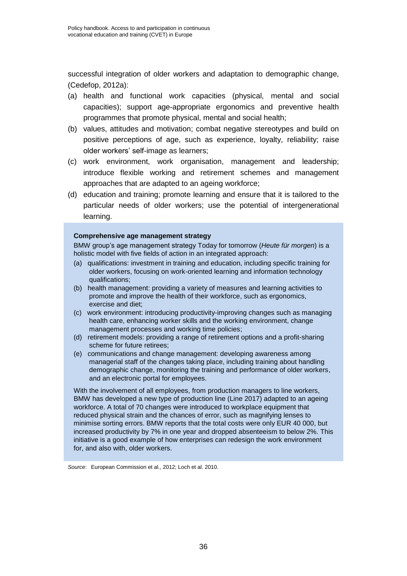successful integration of older workers and adaptation to demographic change, (Cedefop, 2012a):

- (a) health and functional work capacities (physical, mental and social capacities); support age-appropriate ergonomics and preventive health programmes that promote physical, mental and social health;
- (b) values, attitudes and motivation; combat negative stereotypes and build on positive perceptions of age, such as experience, loyalty, reliability; raise older workers' self-image as learners;
- (c) work environment, work organisation, management and leadership; introduce flexible working and retirement schemes and management approaches that are adapted to an ageing workforce;
- (d) education and training; promote learning and ensure that it is tailored to the particular needs of older workers; use the potential of intergenerational learning.

## **Comprehensive age management strategy**

BMW group's age management strategy Today for tomorrow (*Heute für morgen*) is a holistic model with five fields of action in an integrated approach:

- (a) qualifications: investment in training and education, including specific training for older workers, focusing on work-oriented learning and information technology qualifications;
- (b) health management: providing a variety of measures and learning activities to promote and improve the health of their workforce, such as ergonomics, exercise and diet;
- (c) work environment: introducing productivity-improving changes such as managing health care, enhancing worker skills and the working environment, change management processes and working time policies;
- (d) retirement models: providing a range of retirement options and a profit-sharing scheme for future retirees;
- (e) communications and change management: developing awareness among managerial staff of the changes taking place, including training about handling demographic change, monitoring the training and performance of older workers, and an electronic portal for employees.

With the involvement of all employees, from production managers to line workers, BMW has developed a new type of production line (Line 2017) adapted to an ageing workforce. A total of 70 changes were introduced to workplace equipment that reduced physical strain and the chances of error, such as magnifying lenses to minimise sorting errors. BMW reports that the total costs were only EUR 40 000, but increased productivity by 7% in one year and dropped absenteeism to below 2%. This initiative is a good example of how enterprises can redesign the work environment for, and also with, older workers.

*Source*: European Commission et al., 2012; Loch et al. 2010.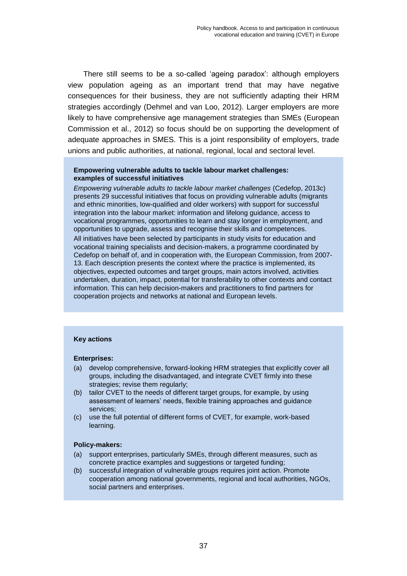There still seems to be a so-called 'ageing paradox': although employers view population ageing as an important trend that may have negative consequences for their business, they are not sufficiently adapting their HRM strategies accordingly (Dehmel and van Loo, 2012). Larger employers are more likely to have comprehensive age management strategies than SMEs (European Commission et al., 2012) so focus should be on supporting the development of adequate approaches in SMES. This is a joint responsibility of employers, trade unions and public authorities, at national, regional, local and sectoral level.

## **Empowering vulnerable adults to tackle labour market challenges: examples of successful initiatives**

*Empowering vulnerable adults to tackle labour market challenges* (Cedefop, 2013c) presents 29 successful initiatives that focus on providing vulnerable adults (migrants and ethnic minorities, low-qualified and older workers) with support for successful integration into the labour market: information and lifelong guidance, access to vocational programmes, opportunities to learn and stay longer in employment, and opportunities to upgrade, assess and recognise their skills and competences. All initiatives have been selected by participants in study visits for education and vocational training specialists and decision-makers, a programme coordinated by Cedefop on behalf of, and in cooperation with, the European Commission, from 2007- 13. Each description presents the context where the practice is implemented, its objectives, expected outcomes and target groups, main actors involved, activities undertaken, duration, impact, potential for transferability to other contexts and contact information. This can help decision-makers and practitioners to find partners for cooperation projects and networks at national and European levels.

## **Key actions**

#### **Enterprises:**

- (a) develop comprehensive, forward-looking HRM strategies that explicitly cover all groups, including the disadvantaged, and integrate CVET firmly into these strategies; revise them regularly;
- (b) tailor CVET to the needs of different target groups, for example, by using assessment of learners' needs, flexible training approaches and guidance services;
- (c) use the full potential of different forms of CVET, for example, work-based learning.

#### **Policy-makers:**

- (a) support enterprises, particularly SMEs, through different measures, such as concrete practice examples and suggestions or targeted funding;
- (b) successful integration of vulnerable groups requires joint action. Promote cooperation among national governments, regional and local authorities, NGOs, social partners and enterprises.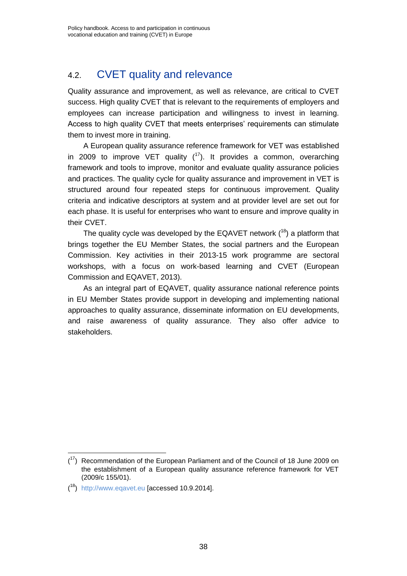## 4.2. CVET quality and relevance

Quality assurance and improvement, as well as relevance, are critical to CVET success. High quality CVET that is relevant to the requirements of employers and employees can increase participation and willingness to invest in learning. Access to high quality CVET that meets enterprises' requirements can stimulate them to invest more in training.

A European quality assurance reference framework for VET was established in 2009 to improve VET quality  $(^{17})$ . It provides a common, overarching framework and tools to improve, monitor and evaluate quality assurance policies and practices. The quality cycle for quality assurance and improvement in VET is structured around four repeated steps for continuous improvement. Quality criteria and indicative descriptors at system and at provider level are set out for each phase. It is useful for enterprises who want to ensure and improve quality in their CVET.

The quality cycle was developed by the EQAVET network  $(^{18})$  a platform that brings together the EU Member States, the social partners and the European Commission. Key activities in their 2013-15 work programme are sectoral workshops, with a focus on work-based learning and CVET (European Commission and EQAVET, 2013).

As an integral part of EQAVET, quality assurance national reference points in EU Member States provide support in developing and implementing national approaches to quality assurance, disseminate information on EU developments, and raise awareness of quality assurance. They also offer advice to stakeholders.

l

 $(17)$  Recommendation of the European Parliament and of the Council of 18 June 2009 on the establishment of a European quality assurance reference framework for VET (2009/c 155/01).

<sup>(&</sup>lt;sup>18</sup>) http:/[/www.eqavet.eu](http://www.eqavet.eu/) [accessed 10.9.2014].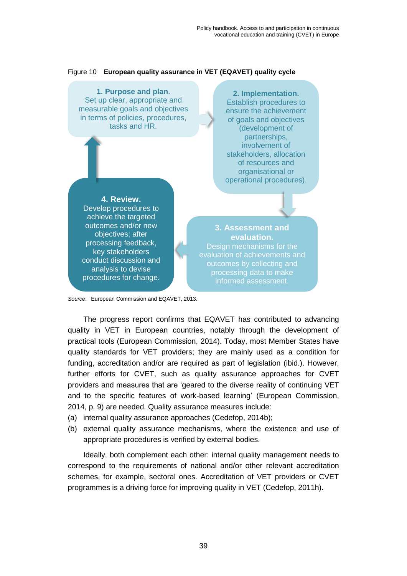

Figure 10 **European quality assurance in VET (EQAVET) quality cycle**

*Source*: European Commission and EQAVET, 2013.

The progress report confirms that EQAVET has contributed to advancing quality in VET in European countries, notably through the development of practical tools (European Commission, 2014). Today, most Member States have quality standards for VET providers; they are mainly used as a condition for funding, accreditation and/or are required as part of legislation (ibid.). However, further efforts for CVET, such as quality assurance approaches for CVET providers and measures that are 'geared to the diverse reality of continuing VET and to the specific features of work-based learning' (European Commission, 2014, p. 9) are needed. Quality assurance measures include:

- (a) internal quality assurance approaches (Cedefop, 2014b);
- (b) external quality assurance mechanisms, where the existence and use of appropriate procedures is verified by external bodies.

Ideally, both complement each other: internal quality management needs to correspond to the requirements of national and/or other relevant accreditation schemes, for example, sectoral ones. Accreditation of VET providers or CVET programmes is a driving force for improving quality in VET (Cedefop, 2011h).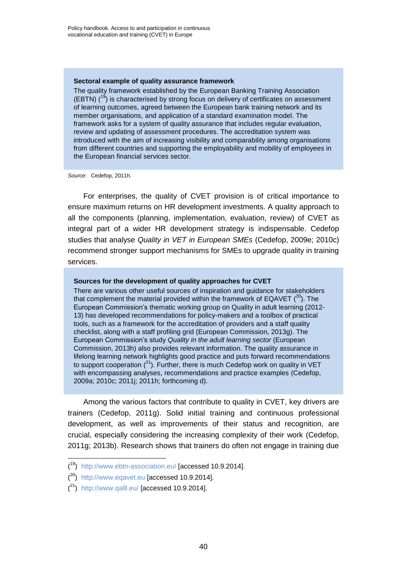#### **Sectoral example of quality assurance framework**

The quality framework established by the European Banking Training Association (EBTN)  $(^{19}$ ) is characterised by strong focus on delivery of certificates on assessment of learning outcomes, agreed between the European bank training network and its member organisations, and application of a standard examination model. The framework asks for a system of quality assurance that includes regular evaluation, review and updating of assessment procedures. The accreditation system was introduced with the aim of increasing visibility and comparability among organisations from different countries and supporting the employability and mobility of employees in the European financial services sector.

*Source*: Cedefop, 2011h.

For enterprises, the quality of CVET provision is of critical importance to ensure maximum returns on HR development investments. A quality approach to all the components (planning, implementation, evaluation, review) of CVET as integral part of a wider HR development strategy is indispensable. Cedefop studies that analyse *Quality in VET in European SMEs* (Cedefop, 2009e; 2010c) recommend stronger support mechanisms for SMEs to upgrade quality in training services.

#### **Sources for the development of quality approaches for CVET**

There are various other useful sources of inspiration and guidance for stakeholders that complement the material provided within the framework of EQAVET  $(^{20})$ . The European Commission's thematic working group on Quality in adult learning (2012- 13) has developed recommendations for policy-makers and a toolbox of practical tools, such as a framework for the accreditation of providers and a staff quality checklist, along with a staff profiling grid (European Commission, 2013g). The European Commission's study *Quality in the adult learning sector* (European Commission, 2013h) also provides relevant information. The quality assurance in lifelong learning network highlights good practice and puts forward recommendations to support cooperation  $(^{21})$ . Further, there is much Cedefop work on quality in VET with encompassing analyses, recommendations and practice examples (Cedefop, 2009a; 2010c; 2011j; 2011h; forthcoming d).

Among the various factors that contribute to quality in CVET, key drivers are trainers (Cedefop, 2011g). Solid initial training and continuous professional development, as well as improvements of their status and recognition, are crucial, especially considering the increasing complexity of their work (Cedefop, 2011g; 2013b). Research shows that trainers do often not engage in training due

l

<sup>(&</sup>lt;sup>19</sup>) <http://www.ebtn-association.eu/> [accessed 10.9.2014].

 $(20)$  http:/[/www.eqavet.eu](http://www.eqavet.eu/) [accessed 10.9.2014].

 $(2<sup>1</sup>)$  <http://www.qalll.eu/> [accessed 10.9.2014].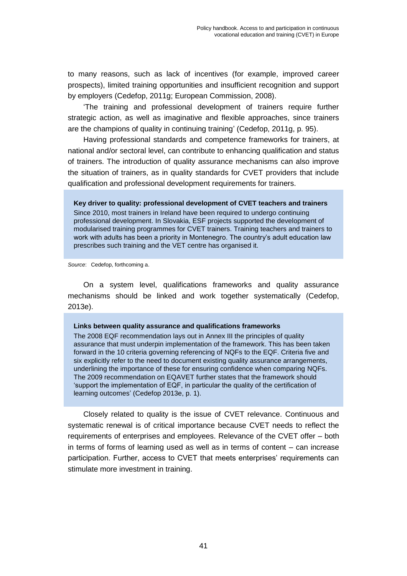to many reasons, such as lack of incentives (for example, improved career prospects), limited training opportunities and insufficient recognition and support by employers (Cedefop, 2011g; European Commission, 2008).

'The training and professional development of trainers require further strategic action, as well as imaginative and flexible approaches, since trainers are the champions of quality in continuing training' (Cedefop, 2011g, p. 95).

Having professional standards and competence frameworks for trainers, at national and/or sectoral level, can contribute to enhancing qualification and status of trainers. The introduction of quality assurance mechanisms can also improve the situation of trainers, as in quality standards for CVET providers that include qualification and professional development requirements for trainers.

**Key driver to quality: professional development of CVET teachers and trainers** Since 2010, most trainers in Ireland have been required to undergo continuing professional development. In Slovakia, ESF projects supported the development of modularised training programmes for CVET trainers. Training teachers and trainers to work with adults has been a priority in Montenegro. The country's adult education law prescribes such training and the VET centre has organised it.

*Source*: Cedefop, forthcoming a.

On a system level, qualifications frameworks and quality assurance mechanisms should be linked and work together systematically (Cedefop, 2013e).

## **Links between quality assurance and qualifications frameworks**

The 2008 EQF recommendation lays out in Annex III the principles of quality assurance that must underpin implementation of the framework. This has been taken forward in the 10 criteria governing referencing of NQFs to the EQF. Criteria five and six explicitly refer to the need to document existing quality assurance arrangements, underlining the importance of these for ensuring confidence when comparing NQFs. The 2009 recommendation on EQAVET further states that the framework should 'support the implementation of EQF, in particular the quality of the certification of learning outcomes' (Cedefop 2013e, p. 1).

Closely related to quality is the issue of CVET relevance. Continuous and systematic renewal is of critical importance because CVET needs to reflect the requirements of enterprises and employees. Relevance of the CVET offer – both in terms of forms of learning used as well as in terms of content – can increase participation. Further, access to CVET that meets enterprises' requirements can stimulate more investment in training.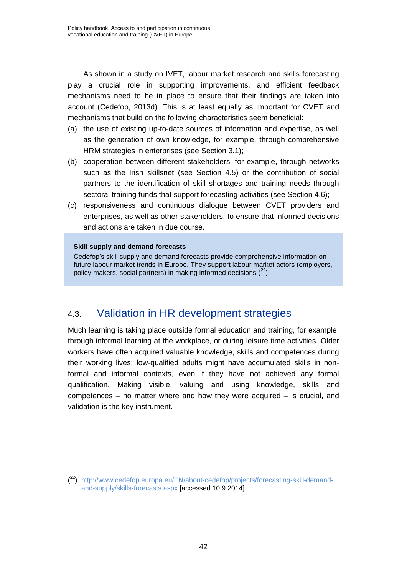As shown in a study on IVET, labour market research and skills forecasting play a crucial role in supporting improvements, and efficient feedback mechanisms need to be in place to ensure that their findings are taken into account (Cedefop, 2013d). This is at least equally as important for CVET and mechanisms that build on the following characteristics seem beneficial:

- (a) the use of existing up-to-date sources of information and expertise, as well as the generation of own knowledge, for example, through comprehensive HRM strategies in enterprises (see Section 3.1);
- (b) cooperation between different stakeholders, for example, through networks such as the Irish skillsnet (see Section 4.5) or the contribution of social partners to the identification of skill shortages and training needs through sectoral training funds that support forecasting activities (see Section 4.6);
- (c) responsiveness and continuous dialogue between CVET providers and enterprises, as well as other stakeholders, to ensure that informed decisions and actions are taken in due course.

## **Skill supply and demand forecasts**

l

Cedefop's skill supply and demand forecasts provide comprehensive information on future labour market trends in Europe. They support labour market actors (employers, policy-makers, social partners) in making informed decisions  $(^{22})$ .

## 4.3. Validation in HR development strategies

Much learning is taking place outside formal education and training, for example, through informal learning at the workplace, or during leisure time activities. Older workers have often acquired valuable knowledge, skills and competences during their working lives; low-qualified adults might have accumulated skills in nonformal and informal contexts, even if they have not achieved any formal qualification. Making visible, valuing and using knowledge, skills and competences – no matter where and how they were acquired – is crucial, and validation is the key instrument.

<sup>(</sup> <sup>22</sup>) [http://www.cedefop.europa.eu/EN/about-cedefop/projects/forecasting-skill-demand](http://www.cedefop.europa.eu/EN/about-cedefop/projects/forecasting-skill-demand-and-supply/skills-forecasts.aspx)[and-supply/skills-forecasts.aspx](http://www.cedefop.europa.eu/EN/about-cedefop/projects/forecasting-skill-demand-and-supply/skills-forecasts.aspx) [accessed 10.9.2014].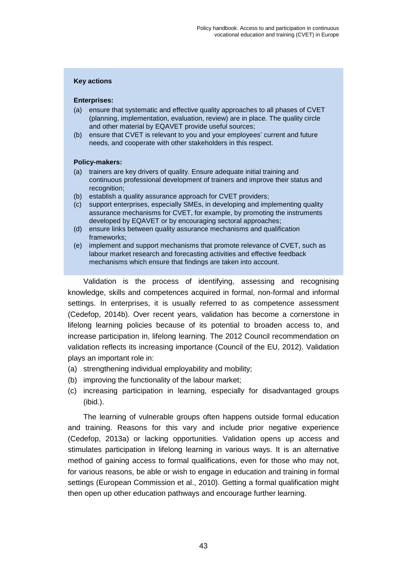## **Key actions**

### **Enterprises:**

- (a) ensure that systematic and effective quality approaches to all phases of CVET (planning, implementation, evaluation, review) are in place. The quality circle and other material by EQAVET provide useful sources;
- (b) ensure that CVET is relevant to you and your employees' current and future needs, and cooperate with other stakeholders in this respect.

### **Policy-makers:**

- (a) trainers are key drivers of quality. Ensure adequate initial training and continuous professional development of trainers and improve their status and recognition:
- (b) establish a quality assurance approach for CVET providers;
- (c) support enterprises, especially SMEs, in developing and implementing quality assurance mechanisms for CVET, for example, by promoting the instruments developed by EQAVET or by encouraging sectoral approaches;
- (d) ensure links between quality assurance mechanisms and qualification frameworks;
- (e) implement and support mechanisms that promote relevance of CVET, such as labour market research and forecasting activities and effective feedback mechanisms which ensure that findings are taken into account.

Validation is the process of identifying, assessing and recognising knowledge, skills and competences acquired in formal, non-formal and informal settings. In enterprises, it is usually referred to as competence assessment (Cedefop, 2014b). Over recent years, validation has become a cornerstone in lifelong learning policies because of its potential to broaden access to, and increase participation in, lifelong learning. The 2012 Council recommendation on validation reflects its increasing importance (Council of the EU, 2012). Validation plays an important role in:

- (a) strengthening individual employability and mobility;
- (b) improving the functionality of the labour market;
- (c) increasing participation in learning, especially for disadvantaged groups (ibid.).

The learning of vulnerable groups often happens outside formal education and training. Reasons for this vary and include prior negative experience (Cedefop, 2013a) or lacking opportunities. Validation opens up access and stimulates participation in lifelong learning in various ways. It is an alternative method of gaining access to formal qualifications, even for those who may not, for various reasons, be able or wish to engage in education and training in formal settings (European Commission et al., 2010). Getting a formal qualification might then open up other education pathways and encourage further learning.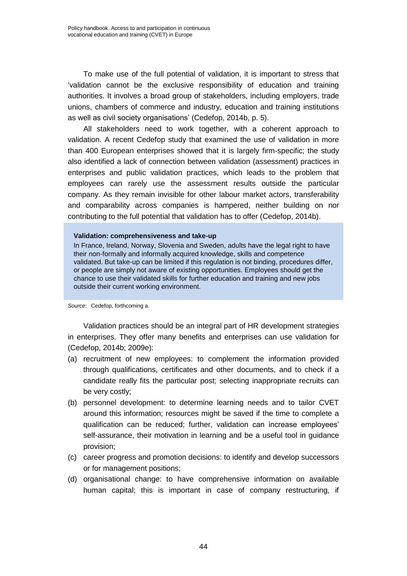To make use of the full potential of validation, it is important to stress that 'validation cannot be the exclusive responsibility of education and training authorities. It involves a broad group of stakeholders, including employers, trade unions, chambers of commerce and industry, education and training institutions as well as civil society organisations' (Cedefop, 2014b, p. 5).

All stakeholders need to work together, with a coherent approach to validation. A recent Cedefop study that examined the use of validation in more than 400 European enterprises showed that it is largely firm-specific; the study also identified a lack of connection between validation (assessment) practices in enterprises and public validation practices, which leads to the problem that employees can rarely use the assessment results outside the particular company. As they remain invisible for other labour market actors, transferability and comparability across companies is hampered, neither building on nor contributing to the full potential that validation has to offer (Cedefop, 2014b).

#### **Validation: comprehensiveness and take-up**

In France, Ireland, Norway, Slovenia and Sweden, adults have the legal right to have their non-formally and informally acquired knowledge, skills and competence validated. But take-up can be limited if this regulation is not binding, procedures differ, or people are simply not aware of existing opportunities. Employees should get the chance to use their validated skills for further education and training and new jobs outside their current working environment.

*Source*: Cedefop, forthcoming a.

Validation practices should be an integral part of HR development strategies in enterprises. They offer many benefits and enterprises can use validation for (Cedefop, 2014b; 2009e):

- (a) recruitment of new employees: to complement the information provided through qualifications, certificates and other documents, and to check if a candidate really fits the particular post; selecting inappropriate recruits can be very costly;
- (b) personnel development: to determine learning needs and to tailor CVET around this information; resources might be saved if the time to complete a qualification can be reduced; further, validation can increase employees' self-assurance, their motivation in learning and be a useful tool in guidance provision;
- (c) career progress and promotion decisions: to identify and develop successors or for management positions;
- (d) organisational change: to have comprehensive information on available human capital; this is important in case of company restructuring, if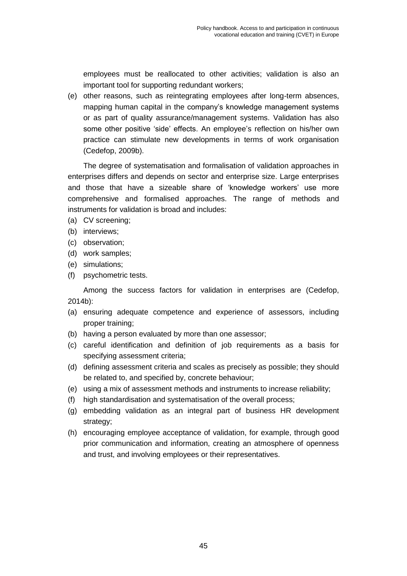employees must be reallocated to other activities; validation is also an important tool for supporting redundant workers;

(e) other reasons, such as reintegrating employees after long-term absences, mapping human capital in the company's knowledge management systems or as part of quality assurance/management systems. Validation has also some other positive 'side' effects. An employee's reflection on his/her own practice can stimulate new developments in terms of work organisation (Cedefop, 2009b).

The degree of systematisation and formalisation of validation approaches in enterprises differs and depends on sector and enterprise size. Large enterprises and those that have a sizeable share of 'knowledge workers' use more comprehensive and formalised approaches. The range of methods and instruments for validation is broad and includes:

- (a) CV screening;
- (b) interviews;
- (c) observation;
- (d) work samples;
- (e) simulations;
- (f) psychometric tests.

Among the success factors for validation in enterprises are (Cedefop, 2014b):

- (a) ensuring adequate competence and experience of assessors, including proper training;
- (b) having a person evaluated by more than one assessor;
- (c) careful identification and definition of job requirements as a basis for specifying assessment criteria;
- (d) defining assessment criteria and scales as precisely as possible; they should be related to, and specified by, concrete behaviour;
- (e) using a mix of assessment methods and instruments to increase reliability;
- (f) high standardisation and systematisation of the overall process;
- (g) embedding validation as an integral part of business HR development strategy;
- (h) encouraging employee acceptance of validation, for example, through good prior communication and information, creating an atmosphere of openness and trust, and involving employees or their representatives.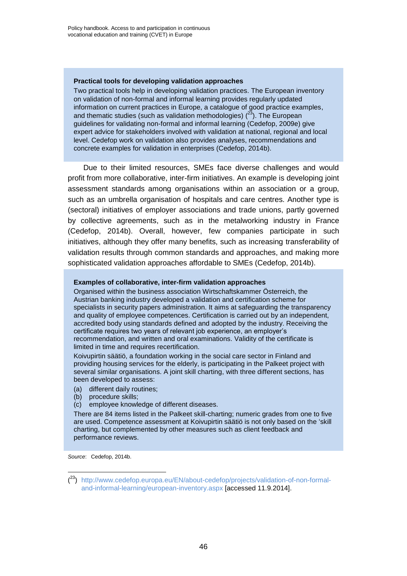#### **Practical tools for developing validation approaches**

Two practical tools help in developing validation practices. The European inventory on validation of non-formal and informal learning provides regularly updated information on current practices in Europe, a catalogue of good practice examples, and thematic studies (such as validation methodologies)  $(^{23})$ . The European guidelines for validating non-formal and informal learning (Cedefop, 2009e) give expert advice for stakeholders involved with validation at national, regional and local level. Cedefop work on validation also provides analyses, recommendations and concrete examples for validation in enterprises (Cedefop, 2014b).

Due to their limited resources, SMEs face diverse challenges and would profit from more collaborative, inter-firm initiatives. An example is developing joint assessment standards among organisations within an association or a group, such as an umbrella organisation of hospitals and care centres. Another type is (sectoral) initiatives of employer associations and trade unions, partly governed by collective agreements, such as in the metalworking industry in France (Cedefop, 2014b). Overall, however, few companies participate in such initiatives, although they offer many benefits, such as increasing transferability of validation results through common standards and approaches, and making more sophisticated validation approaches affordable to SMEs (Cedefop, 2014b).

#### **Examples of collaborative, inter-firm validation approaches**

Organised within the business association Wirtschaftskammer Österreich, the Austrian banking industry developed a validation and certification scheme for specialists in security papers administration. It aims at safeguarding the transparency and quality of employee competences. Certification is carried out by an independent, accredited body using standards defined and adopted by the industry. Receiving the certificate requires two years of relevant job experience, an employer's recommendation, and written and oral examinations. Validity of the certificate is limited in time and requires recertification.

Koivupirtin säätiö, a foundation working in the social care sector in Finland and providing housing services for the elderly, is participating in the Palkeet project with several similar organisations. A joint skill charting, with three different sections, has been developed to assess:

- (a) different daily routines;
- (b) procedure skills;
- (c) employee knowledge of different diseases.

There are 84 items listed in the Palkeet skill-charting; numeric grades from one to five are used. Competence assessment at Koivupirtin säätiö is not only based on the 'skill charting, but complemented by other measures such as client feedback and performance reviews.

*Source*: Cedefop, 2014b.

l

<sup>(</sup> <sup>23</sup>) [http://www.cedefop.europa.eu/EN/about-cedefop/projects/validation-of-non-formal](http://www.cedefop.europa.eu/EN/about-cedefop/projects/validation-of-non-formal-and-informal-learning/european-inventory.aspx)[and-informal-learning/european-inventory.aspx](http://www.cedefop.europa.eu/EN/about-cedefop/projects/validation-of-non-formal-and-informal-learning/european-inventory.aspx) [accessed 11.9.2014].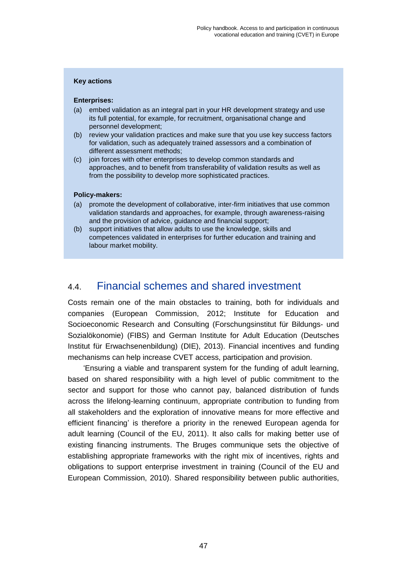## **Key actions**

### **Enterprises:**

- (a) embed validation as an integral part in your HR development strategy and use its full potential, for example, for recruitment, organisational change and personnel development;
- (b) review your validation practices and make sure that you use key success factors for validation, such as adequately trained assessors and a combination of different assessment methods;
- (c) join forces with other enterprises to develop common standards and approaches, and to benefit from transferability of validation results as well as from the possibility to develop more sophisticated practices.

## **Policy-makers:**

- (a) promote the development of collaborative, inter-firm initiatives that use common validation standards and approaches, for example, through awareness-raising and the provision of advice, guidance and financial support;
- (b) support initiatives that allow adults to use the knowledge, skills and competences validated in enterprises for further education and training and labour market mobility.

## 4.4. Financial schemes and shared investment

Costs remain one of the main obstacles to training, both for individuals and companies (European Commission, 2012; Institute for Education and Socioeconomic Research and Consulting (Forschungsinstitut für Bildungs- und Sozialökonomie) (FIBS) and German Institute for Adult Education (Deutsches Institut für Erwachsenenbildung) (DIE), 2013). Financial incentives and funding mechanisms can help increase CVET access, participation and provision.

'Ensuring a viable and transparent system for the funding of adult learning, based on shared responsibility with a high level of public commitment to the sector and support for those who cannot pay, balanced distribution of funds across the lifelong-learning continuum, appropriate contribution to funding from all stakeholders and the exploration of innovative means for more effective and efficient financing' is therefore a priority in the renewed European agenda for adult learning (Council of the EU, 2011). It also calls for making better use of existing financing instruments. The Bruges communique sets the objective of establishing appropriate frameworks with the right mix of incentives, rights and obligations to support enterprise investment in training (Council of the EU and European Commission, 2010). Shared responsibility between public authorities,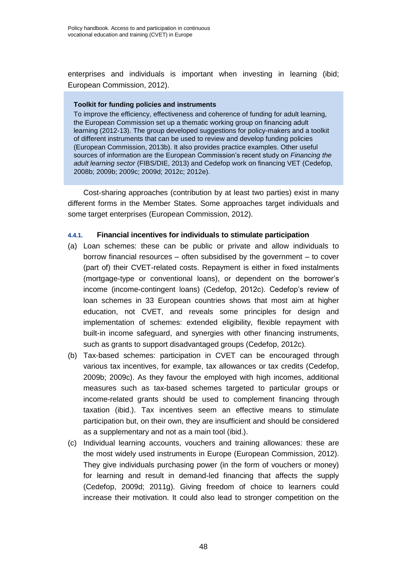enterprises and individuals is important when investing in learning (ibid; European Commission, 2012).

## **Toolkit for funding policies and instruments**

To improve the efficiency, effectiveness and coherence of funding for adult learning, the European Commission set up a thematic working group on financing adult learning (2012-13). The group developed suggestions for policy-makers and a toolkit of different instruments that can be used to review and develop funding policies (European Commission, 2013b). It also provides practice examples. Other useful sources of information are the European Commission's recent study on *Financing the adult learning sector* (FIBS/DIE, 2013) and Cedefop work on financing VET (Cedefop, 2008b; 2009b; 2009c; 2009d; 2012c; 2012e).

Cost-sharing approaches (contribution by at least two parties) exist in many different forms in the Member States. Some approaches target individuals and some target enterprises (European Commission, 2012).

## **4.4.1. Financial incentives for individuals to stimulate participation**

- (a) Loan schemes: these can be public or private and allow individuals to borrow financial resources – often subsidised by the government – to cover (part of) their CVET-related costs. Repayment is either in fixed instalments (mortgage-type or conventional loans), or dependent on the borrower's income (income-contingent loans) (Cedefop, 2012c). Cedefop's review of loan schemes in 33 European countries shows that most aim at higher education, not CVET, and reveals some principles for design and implementation of schemes: extended eligibility, flexible repayment with built-in income safeguard, and synergies with other financing instruments, such as grants to support disadvantaged groups (Cedefop, 2012c).
- (b) Tax-based schemes: participation in CVET can be encouraged through various tax incentives, for example, tax allowances or tax credits (Cedefop, 2009b; 2009c). As they favour the employed with high incomes, additional measures such as tax-based schemes targeted to particular groups or income-related grants should be used to complement financing through taxation (ibid.). Tax incentives seem an effective means to stimulate participation but, on their own, they are insufficient and should be considered as a supplementary and not as a main tool (ibid.).
- (c) Individual learning accounts, vouchers and training allowances: these are the most widely used instruments in Europe (European Commission, 2012). They give individuals purchasing power (in the form of vouchers or money) for learning and result in demand-led financing that affects the supply (Cedefop, 2009d; 2011g). Giving freedom of choice to learners could increase their motivation. It could also lead to stronger competition on the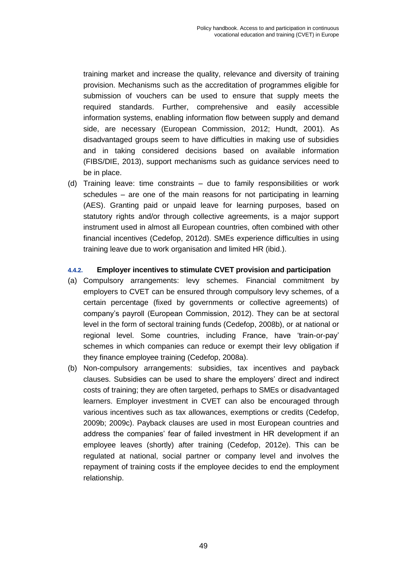training market and increase the quality, relevance and diversity of training provision. Mechanisms such as the accreditation of programmes eligible for submission of vouchers can be used to ensure that supply meets the required standards. Further, comprehensive and easily accessible information systems, enabling information flow between supply and demand side, are necessary (European Commission, 2012; Hundt, 2001). As disadvantaged groups seem to have difficulties in making use of subsidies and in taking considered decisions based on available information (FIBS/DIE, 2013), support mechanisms such as guidance services need to be in place.

(d) Training leave: time constraints – due to family responsibilities or work schedules – are one of the main reasons for not participating in learning (AES). Granting paid or unpaid leave for learning purposes, based on statutory rights and/or through collective agreements, is a major support instrument used in almost all European countries, often combined with other financial incentives (Cedefop, 2012d). SMEs experience difficulties in using training leave due to work organisation and limited HR (ibid.).

## **4.4.2. Employer incentives to stimulate CVET provision and participation**

- (a) Compulsory arrangements: levy schemes. Financial commitment by employers to CVET can be ensured through compulsory levy schemes, of a certain percentage (fixed by governments or collective agreements) of company's payroll (European Commission, 2012). They can be at sectoral level in the form of sectoral training funds (Cedefop, 2008b), or at national or regional level. Some countries, including France, have 'train-or-pay' schemes in which companies can reduce or exempt their levy obligation if they finance employee training (Cedefop, 2008a).
- (b) Non-compulsory arrangements: subsidies, tax incentives and payback clauses. Subsidies can be used to share the employers' direct and indirect costs of training; they are often targeted, perhaps to SMEs or disadvantaged learners. Employer investment in CVET can also be encouraged through various incentives such as tax allowances, exemptions or credits (Cedefop, 2009b; 2009c). Payback clauses are used in most European countries and address the companies' fear of failed investment in HR development if an employee leaves (shortly) after training (Cedefop, 2012e). This can be regulated at national, social partner or company level and involves the repayment of training costs if the employee decides to end the employment relationship.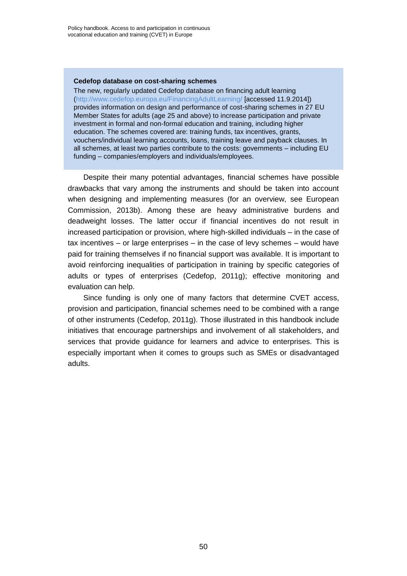### **Cedefop database on cost-sharing schemes**

The new, regularly updated Cedefop database on financing adult learning [\(http://www.cedefop.europa.eu/FinancingAdultLearning/](http://www.cedefop.europa.eu/FinancingAdultLearning/) [accessed 11.9.2014]) provides information on design and performance of cost-sharing schemes in 27 EU Member States for adults (age 25 and above) to increase participation and private investment in formal and non-formal education and training, including higher education. The schemes covered are: training funds, tax incentives, grants, vouchers/individual learning accounts, loans, training leave and payback clauses. In all schemes, at least two parties contribute to the costs: governments – including EU funding – companies/employers and individuals/employees.

Despite their many potential advantages, financial schemes have possible drawbacks that vary among the instruments and should be taken into account when designing and implementing measures (for an overview, see European Commission, 2013b). Among these are heavy administrative burdens and deadweight losses. The latter occur if financial incentives do not result in increased participation or provision, where high-skilled individuals – in the case of tax incentives – or large enterprises – in the case of levy schemes – would have paid for training themselves if no financial support was available. It is important to avoid reinforcing inequalities of participation in training by specific categories of adults or types of enterprises (Cedefop, 2011g); effective monitoring and evaluation can help.

Since funding is only one of many factors that determine CVET access, provision and participation, financial schemes need to be combined with a range of other instruments (Cedefop, 2011g). Those illustrated in this handbook include initiatives that encourage partnerships and involvement of all stakeholders, and services that provide guidance for learners and advice to enterprises. This is especially important when it comes to groups such as SMEs or disadvantaged adults.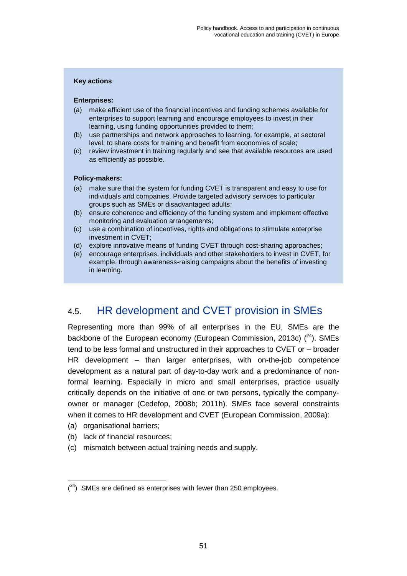## **Key actions**

## **Enterprises:**

- (a) make efficient use of the financial incentives and funding schemes available for enterprises to support learning and encourage employees to invest in their learning, using funding opportunities provided to them;
- (b) use partnerships and network approaches to learning, for example, at sectoral level, to share costs for training and benefit from economies of scale;
- (c) review investment in training regularly and see that available resources are used as efficiently as possible.

## **Policy-makers:**

- (a) make sure that the system for funding CVET is transparent and easy to use for individuals and companies. Provide targeted advisory services to particular groups such as SMEs or disadvantaged adults;
- (b) ensure coherence and efficiency of the funding system and implement effective monitoring and evaluation arrangements;
- (c) use a combination of incentives, rights and obligations to stimulate enterprise investment in CVET;
- (d) explore innovative means of funding CVET through cost-sharing approaches;
- (e) encourage enterprises, individuals and other stakeholders to invest in CVET, for example, through awareness-raising campaigns about the benefits of investing in learning.

## 4.5. HR development and CVET provision in SMEs

Representing more than 99% of all enterprises in the EU, SMEs are the backbone of the European economy (European Commission, 2013c)  $(^{24})$ . SMEs tend to be less formal and unstructured in their approaches to CVET or – broader HR development – than larger enterprises, with on-the-job competence development as a natural part of day-to-day work and a predominance of nonformal learning. Especially in micro and small enterprises, practice usually critically depends on the initiative of one or two persons, typically the companyowner or manager (Cedefop, 2008b; 2011h). SMEs face several constraints when it comes to HR development and CVET (European Commission, 2009a):

(a) organisational barriers;

l

- (b) lack of financial resources;
- (c) mismatch between actual training needs and supply.

 $(24)$  SMEs are defined as enterprises with fewer than 250 employees.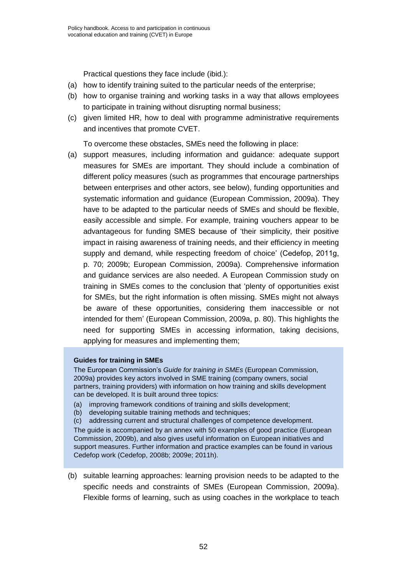Practical questions they face include (ibid.):

- (a) how to identify training suited to the particular needs of the enterprise;
- (b) how to organise training and working tasks in a way that allows employees to participate in training without disrupting normal business;
- (c) given limited HR, how to deal with programme administrative requirements and incentives that promote CVET.

To overcome these obstacles, SMEs need the following in place:

(a) support measures, including information and guidance: adequate support measures for SMEs are important. They should include a combination of different policy measures (such as programmes that encourage partnerships between enterprises and other actors, see below), funding opportunities and systematic information and guidance (European Commission, 2009a). They have to be adapted to the particular needs of SMEs and should be flexible, easily accessible and simple. For example, training vouchers appear to be advantageous for funding SMES because of 'their simplicity, their positive impact in raising awareness of training needs, and their efficiency in meeting supply and demand, while respecting freedom of choice' (Cedefop, 2011g, p. 70; 2009b; European Commission, 2009a). Comprehensive information and guidance services are also needed. A European Commission study on training in SMEs comes to the conclusion that 'plenty of opportunities exist for SMEs, but the right information is often missing. SMEs might not always be aware of these opportunities, considering them inaccessible or not intended for them' (European Commission, 2009a, p. 80). This highlights the need for supporting SMEs in accessing information, taking decisions, applying for measures and implementing them;

## **Guides for training in SMEs**

The European Commission's *Guide for training in SMEs* (European Commission, 2009a) provides key actors involved in SME training (company owners, social partners, training providers) with information on how training and skills development can be developed. It is built around three topics:

- (a) improving framework conditions of training and skills development;
- (b) developing suitable training methods and techniques;
- (c) addressing current and structural challenges of competence development.

The guide is accompanied by an annex with 50 examples of good practice (European Commission, 2009b), and also gives useful information on European initiatives and support measures. Further information and practice examples can be found in various Cedefop work (Cedefop, 2008b; 2009e; 2011h).

(b) suitable learning approaches: learning provision needs to be adapted to the specific needs and constraints of SMEs (European Commission, 2009a). Flexible forms of learning, such as using coaches in the workplace to teach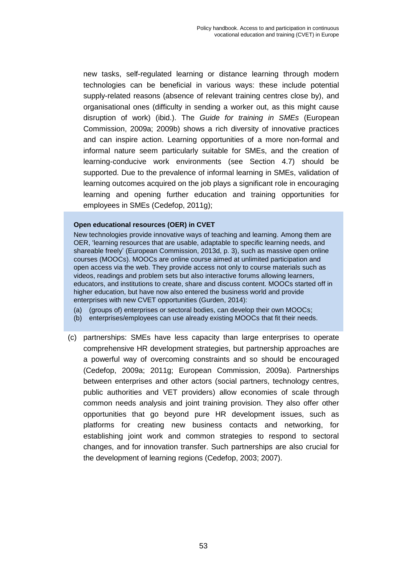new tasks, self-regulated learning or distance learning through modern technologies can be beneficial in various ways: these include potential supply-related reasons (absence of relevant training centres close by), and organisational ones (difficulty in sending a worker out, as this might cause disruption of work) (ibid.). The *Guide for training in SMEs* (European Commission, 2009a; 2009b) shows a rich diversity of innovative practices and can inspire action. Learning opportunities of a more non-formal and informal nature seem particularly suitable for SMEs, and the creation of learning-conducive work environments (see Section 4.7) should be supported. Due to the prevalence of informal learning in SMEs, validation of learning outcomes acquired on the job plays a significant role in encouraging learning and opening further education and training opportunities for employees in SMEs (Cedefop, 2011g);

## **Open educational resources (OER) in CVET**

New technologies provide innovative ways of teaching and learning. Among them are OER, 'learning resources that are usable, adaptable to specific learning needs, and shareable freely' (European Commission, 2013d, p. 3), such as massive open online courses (MOOCs). MOOCs are online course aimed at unlimited participation and open access via the web. They provide access not only to course materials such as videos, readings and problem sets but also interactive forums allowing learners, educators, and institutions to create, share and discuss content. MOOCs started off in higher education, but have now also entered the business world and provide enterprises with new CVET opportunities (Gurden, 2014):

- (a) (groups of) enterprises or sectoral bodies, can develop their own MOOCs;
- (b) enterprises/employees can use already existing MOOCs that fit their needs.
- (c) partnerships: SMEs have less capacity than large enterprises to operate comprehensive HR development strategies, but partnership approaches are a powerful way of overcoming constraints and so should be encouraged (Cedefop, 2009a; 2011g; European Commission, 2009a). Partnerships between enterprises and other actors (social partners, technology centres, public authorities and VET providers) allow economies of scale through common needs analysis and joint training provision. They also offer other opportunities that go beyond pure HR development issues, such as platforms for creating new business contacts and networking, for establishing joint work and common strategies to respond to sectoral changes, and for innovation transfer. Such partnerships are also crucial for the development of learning regions (Cedefop, 2003; 2007).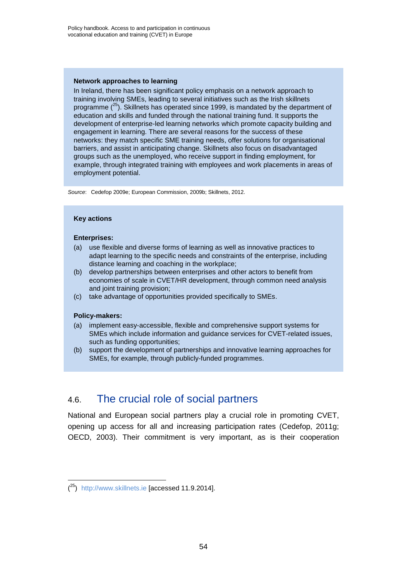### **Network approaches to learning**

In Ireland, there has been significant policy emphasis on a network approach to training involving SMEs, leading to several initiatives such as the Irish skillnets programme  $(^{25})$ . Skillnets has operated since 1999, is mandated by the department of education and skills and funded through the national training fund. It supports the development of enterprise-led learning networks which promote capacity building and engagement in learning. There are several reasons for the success of these networks: they match specific SME training needs, offer solutions for organisational barriers, and assist in anticipating change. Skillnets also focus on disadvantaged groups such as the unemployed, who receive support in finding employment, for example, through integrated training with employees and work placements in areas of employment potential.

*Source*: Cedefop 2009e; European Commission, 2009b; Skillnets, 2012.

### **Key actions**

### **Enterprises:**

- (a) use flexible and diverse forms of learning as well as innovative practices to adapt learning to the specific needs and constraints of the enterprise, including distance learning and coaching in the workplace;
- (b) develop partnerships between enterprises and other actors to benefit from economies of scale in CVET/HR development, through common need analysis and joint training provision;
- (c) take advantage of opportunities provided specifically to SMEs.

#### **Policy-makers:**

l

- (a) implement easy-accessible, flexible and comprehensive support systems for SMEs which include information and guidance services for CVET-related issues, such as funding opportunities:
- (b) support the development of partnerships and innovative learning approaches for SMEs, for example, through publicly-funded programmes.

## 4.6. The crucial role of social partners

National and European social partners play a crucial role in promoting CVET, opening up access for all and increasing participation rates (Cedefop, 2011g; OECD, 2003). Their commitment is very important, as is their cooperation

<sup>(&</sup>lt;sup>25</sup>) [http://www.skillnets.ie](http://www.skillnets.ie/) [accessed 11.9.2014].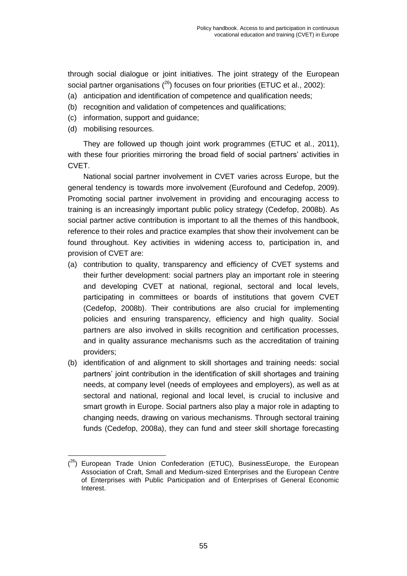through social dialogue or joint initiatives. The joint strategy of the European social partner organisations  $(^{26})$  focuses on four priorities (ETUC et al., 2002):

- (a) anticipation and identification of competence and qualification needs;
- (b) recognition and validation of competences and qualifications;
- (c) information, support and guidance;
- (d) mobilising resources.

They are followed up though joint work programmes (ETUC et al., 2011), with these four priorities mirroring the broad field of social partners' activities in CVET.

National social partner involvement in CVET varies across Europe, but the general tendency is towards more involvement (Eurofound and Cedefop, 2009). Promoting social partner involvement in providing and encouraging access to training is an increasingly important public policy strategy (Cedefop, 2008b). As social partner active contribution is important to all the themes of this handbook, reference to their roles and practice examples that show their involvement can be found throughout. Key activities in widening access to, participation in, and provision of CVET are:

- (a) contribution to quality, transparency and efficiency of CVET systems and their further development: social partners play an important role in steering and developing CVET at national, regional, sectoral and local levels, participating in committees or boards of institutions that govern CVET (Cedefop, 2008b). Their contributions are also crucial for implementing policies and ensuring transparency, efficiency and high quality. Social partners are also involved in skills recognition and certification processes, and in quality assurance mechanisms such as the accreditation of training providers;
- (b) identification of and alignment to skill shortages and training needs: social partners' joint contribution in the identification of skill shortages and training needs, at company level (needs of employees and employers), as well as at sectoral and national, regional and local level, is crucial to inclusive and smart growth in Europe. Social partners also play a major role in adapting to changing needs, drawing on various mechanisms. Through sectoral training funds (Cedefop, 2008a), they can fund and steer skill shortage forecasting

l  $(26)$  European Trade Union Confederation (ETUC), BusinessEurope, the European Association of Craft, Small and Medium-sized Enterprises and the European Centre of Enterprises with Public Participation and of Enterprises of General Economic Interest.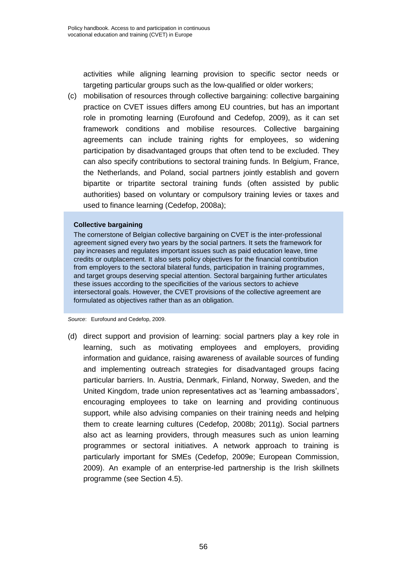activities while aligning learning provision to specific sector needs or targeting particular groups such as the low-qualified or older workers;

(c) mobilisation of resources through collective bargaining: collective bargaining practice on CVET issues differs among EU countries, but has an important role in promoting learning (Eurofound and Cedefop, 2009), as it can set framework conditions and mobilise resources. Collective bargaining agreements can include training rights for employees, so widening participation by disadvantaged groups that often tend to be excluded. They can also specify contributions to sectoral training funds. In Belgium, France, the Netherlands, and Poland, social partners jointly establish and govern bipartite or tripartite sectoral training funds (often assisted by public authorities) based on voluntary or compulsory training levies or taxes and used to finance learning (Cedefop, 2008a);

## **Collective bargaining**

The cornerstone of Belgian collective bargaining on CVET is the inter-professional agreement signed every two years by the social partners. It sets the framework for pay increases and regulates important issues such as paid education leave, time credits or outplacement. It also sets policy objectives for the financial contribution from employers to the sectoral bilateral funds, participation in training programmes, and target groups deserving special attention. Sectoral bargaining further articulates these issues according to the specificities of the various sectors to achieve intersectoral goals. However, the CVET provisions of the collective agreement are formulated as objectives rather than as an obligation.

*Source*: Eurofound and Cedefop, 2009.

(d) direct support and provision of learning: social partners play a key role in learning, such as motivating employees and employers, providing information and guidance, raising awareness of available sources of funding and implementing outreach strategies for disadvantaged groups facing particular barriers. In. Austria, Denmark, Finland, Norway, Sweden, and the United Kingdom, trade union representatives act as 'learning ambassadors', encouraging employees to take on learning and providing continuous support, while also advising companies on their training needs and helping them to create learning cultures (Cedefop, 2008b; 2011g). Social partners also act as learning providers, through measures such as union learning programmes or sectoral initiatives. A network approach to training is particularly important for SMEs (Cedefop, 2009e; European Commission, 2009). An example of an enterprise-led partnership is the Irish skillnets programme (see Section 4.5).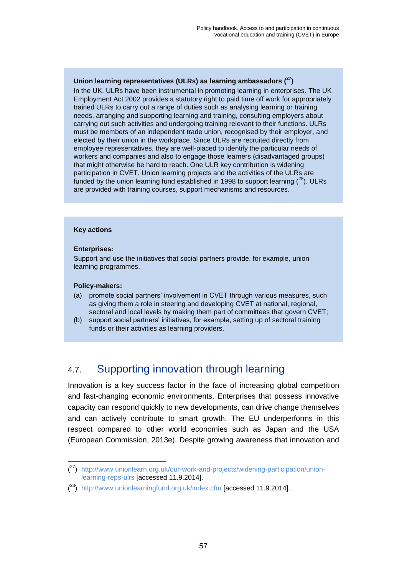## **Union learning representatives (ULRs) as learning ambassadors ( 27)**

In the UK, ULRs have been instrumental in promoting learning in enterprises. The UK Employment Act 2002 provides a statutory right to paid time off work for appropriately trained ULRs to carry out a range of duties such as analysing learning or training needs, arranging and supporting learning and training, consulting employers about carrying out such activities and undergoing training relevant to their functions. ULRs must be members of an independent trade union, recognised by their employer, and elected by their union in the workplace. Since ULRs are recruited directly from employee representatives, they are well-placed to identify the particular needs of workers and companies and also to engage those learners (disadvantaged groups) that might otherwise be hard to reach. One ULR key contribution is widening participation in CVET. Union learning projects and the activities of the ULRs are funded by the union learning fund established in 1998 to support learning  $(^{28})$ . ULRs are provided with training courses, support mechanisms and resources.

## **Key actions**

## **Enterprises:**

Support and use the initiatives that social partners provide, for example, union learning programmes.

## **Policy-makers:**

l

- (a) promote social partners' involvement in CVET through various measures, such as giving them a role in steering and developing CVET at national, regional, sectoral and local levels by making them part of committees that govern CVET;
- (b) support social partners' initiatives, for example, setting up of sectoral training funds or their activities as learning providers.

## 4.7. Supporting innovation through learning

Innovation is a key success factor in the face of increasing global competition and fast-changing economic environments. Enterprises that possess innovative capacity can respond quickly to new developments, can drive change themselves and can actively contribute to smart growth. The EU underperforms in this respect compared to other world economies such as Japan and the USA (European Commission, 2013e). Despite growing awareness that innovation and

<sup>(&</sup>lt;sup>27</sup>) [http://www.unionlearn.org.uk/our-work-and-projects/widening-participation/union](http://www.unionlearn.org.uk/our-work-and-projects/widening-participation/union-learning-reps-ulrs)[learning-reps-ulrs](http://www.unionlearn.org.uk/our-work-and-projects/widening-participation/union-learning-reps-ulrs) [accessed 11.9.2014].

<sup>(&</sup>lt;sup>28</sup>) <http://www.unionlearningfund.org.uk/index.cfm> [accessed 11.9.2014].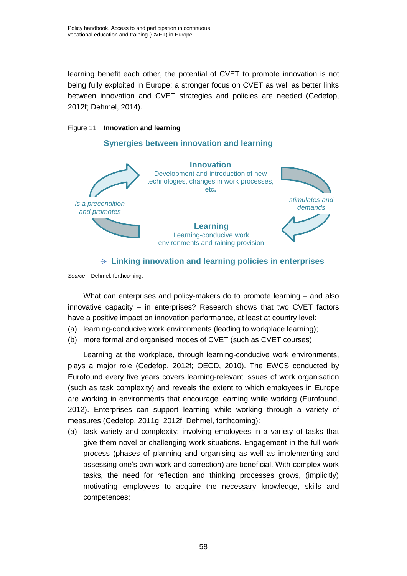learning benefit each other, the potential of CVET to promote innovation is not being fully exploited in Europe; a stronger focus on CVET as well as better links between innovation and CVET strategies and policies are needed (Cedefop, 2012f; Dehmel, 2014).

## Figure 11 **Innovation and learning**

## **Synergies between innovation and learning**



## **Linking innovation and learning policies in enterprises**

*Source*: Dehmel, forthcoming.

What can enterprises and policy-makers do to promote learning – and also innovative capacity – in enterprises? Research shows that two CVET factors have a positive impact on innovation performance, at least at country level:

- (a) learning-conducive work environments (leading to workplace learning);
- (b) more formal and organised modes of CVET (such as CVET courses).

Learning at the workplace, through learning-conducive work environments, plays a major role (Cedefop, 2012f; OECD, 2010). The EWCS conducted by Eurofound every five years covers learning-relevant issues of work organisation (such as task complexity) and reveals the extent to which employees in Europe are working in environments that encourage learning while working (Eurofound, 2012). Enterprises can support learning while working through a variety of measures (Cedefop, 2011g; 2012f; Dehmel, forthcoming):

(a) task variety and complexity: involving employees in a variety of tasks that give them novel or challenging work situations. Engagement in the full work process (phases of planning and organising as well as implementing and assessing one's own work and correction) are beneficial. With complex work tasks, the need for reflection and thinking processes grows, (implicitly) motivating employees to acquire the necessary knowledge, skills and competences;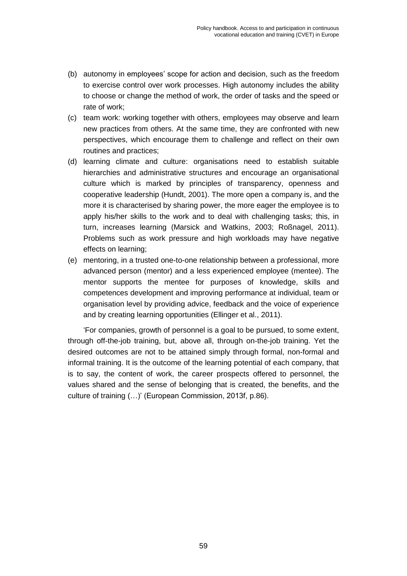- (b) autonomy in employees' scope for action and decision, such as the freedom to exercise control over work processes. High autonomy includes the ability to choose or change the method of work, the order of tasks and the speed or rate of work;
- (c) team work: working together with others, employees may observe and learn new practices from others. At the same time, they are confronted with new perspectives, which encourage them to challenge and reflect on their own routines and practices;
- (d) learning climate and culture: organisations need to establish suitable hierarchies and administrative structures and encourage an organisational culture which is marked by principles of transparency, openness and cooperative leadership (Hundt, 2001). The more open a company is, and the more it is characterised by sharing power, the more eager the employee is to apply his/her skills to the work and to deal with challenging tasks; this, in turn, increases learning (Marsick and Watkins, 2003; Roßnagel, 2011). Problems such as work pressure and high workloads may have negative effects on learning;
- (e) mentoring, in a trusted one-to-one relationship between a professional, more advanced person (mentor) and a less experienced employee (mentee). The mentor supports the mentee for purposes of knowledge, skills and competences development and improving performance at individual, team or organisation level by providing advice, feedback and the voice of experience and by creating learning opportunities (Ellinger et al., 2011).

'For companies, growth of personnel is a goal to be pursued, to some extent, through off-the-job training, but, above all, through on-the-job training. Yet the desired outcomes are not to be attained simply through formal, non-formal and informal training. It is the outcome of the learning potential of each company, that is to say, the content of work, the career prospects offered to personnel, the values shared and the sense of belonging that is created, the benefits, and the culture of training (…)' (European Commission, 2013f, p.86).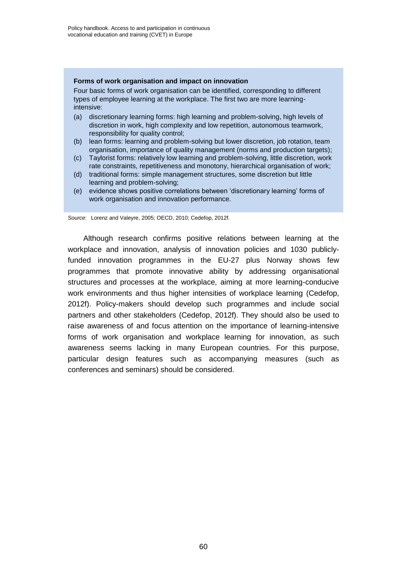## **Forms of work organisation and impact on innovation**

Four basic forms of work organisation can be identified, corresponding to different types of employee learning at the workplace. The first two are more learningintensive:

- (a) discretionary learning forms: high learning and problem-solving, high levels of discretion in work, high complexity and low repetition, autonomous teamwork, responsibility for quality control;
- (b) lean forms: learning and problem-solving but lower discretion, job rotation, team organisation, importance of quality management (norms and production targets);
- (c) Taylorist forms: relatively low learning and problem-solving, little discretion, work rate constraints, repetitiveness and monotony, hierarchical organisation of work;
- (d) traditional forms: simple management structures, some discretion but little learning and problem-solving;
- (e) evidence shows positive correlations between 'discretionary learning' forms of work organisation and innovation performance.

*Source*: Lorenz and Valeyre, 2005; OECD, 2010; Cedefop, 2012f.

Although research confirms positive relations between learning at the workplace and innovation, analysis of innovation policies and 1030 publiclyfunded innovation programmes in the EU-27 plus Norway shows few programmes that promote innovative ability by addressing organisational structures and processes at the workplace, aiming at more learning-conducive work environments and thus higher intensities of workplace learning (Cedefop, 2012f). Policy-makers should develop such programmes and include social partners and other stakeholders (Cedefop, 2012f). They should also be used to raise awareness of and focus attention on the importance of learning-intensive forms of work organisation and workplace learning for innovation, as such awareness seems lacking in many European countries. For this purpose, particular design features such as accompanying measures (such as conferences and seminars) should be considered.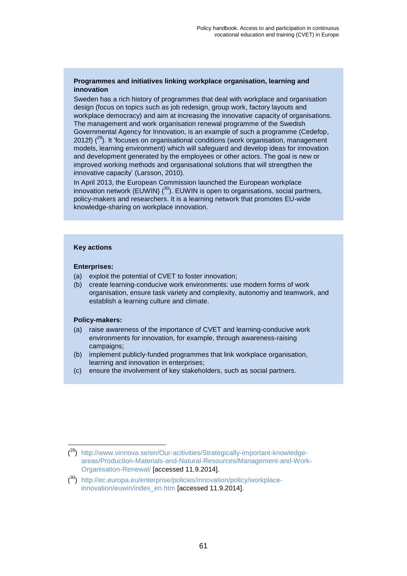## **Programmes and initiatives linking workplace organisation, learning and innovation**

Sweden has a rich history of programmes that deal with workplace and organisation design (focus on topics such as job redesign, group work, factory layouts and workplace democracy) and aim at increasing the innovative capacity of organisations. The management and work organisation renewal programme of the Swedish Governmental Agency for Innovation, is an example of such a programme (Cedefop, 2012f)  $(^{29})$ . It 'focuses on organisational conditions (work organisation, management models, learning environment) which will safeguard and develop ideas for innovation and development generated by the employees or other actors. The goal is new or improved working methods and organisational solutions that will strengthen the innovative capacity' (Larsson, 2010).

In April 2013, the European Commission launched the European workplace innovation network (EUWIN)  $(30)$ . EUWIN is open to organisations, social partners, policy-makers and researchers. It is a learning network that promotes EU-wide knowledge-sharing on workplace innovation.

#### **Key actions**

#### **Enterprises:**

- (a) exploit the potential of CVET to foster innovation;
- (b) create learning-conducive work environments: use modern forms of work organisation, ensure task variety and complexity, autonomy and teamwork, and establish a learning culture and climate.

## **Policy-makers:**

- (a) raise awareness of the importance of CVET and learning-conducive work environments for innovation, for example, through awareness-raising campaigns;
- (b) implement publicly-funded programmes that link workplace organisation, learning and innovation in enterprises;
- (c) ensure the involvement of key stakeholders, such as social partners.

l (<sup>29</sup>) [http://www.vinnova.se/en/Our-acitivities/Strategically-important-knowledge](http://www.vinnova.se/en/Our-acitivities/Strategically-important-knowledge-areas/Production-Materials-and-Natural-Resources/Management-and-Work-Organisation-Renewal/)[areas/Production-Materials-and-Natural-Resources/Management-and-Work-](http://www.vinnova.se/en/Our-acitivities/Strategically-important-knowledge-areas/Production-Materials-and-Natural-Resources/Management-and-Work-Organisation-Renewal/)[Organisation-Renewal/](http://www.vinnova.se/en/Our-acitivities/Strategically-important-knowledge-areas/Production-Materials-and-Natural-Resources/Management-and-Work-Organisation-Renewal/) [accessed 11.9.2014].

<sup>(</sup> <sup>30</sup>) [http://ec.europa.eu/enterprise/policies/innovation/policy/workplace](http://ec.europa.eu/enterprise/policies/innovation/policy/workplace-innovation/euwin/index_en.htm)[innovation/euwin/index\\_en.htm](http://ec.europa.eu/enterprise/policies/innovation/policy/workplace-innovation/euwin/index_en.htm) [accessed 11.9.2014].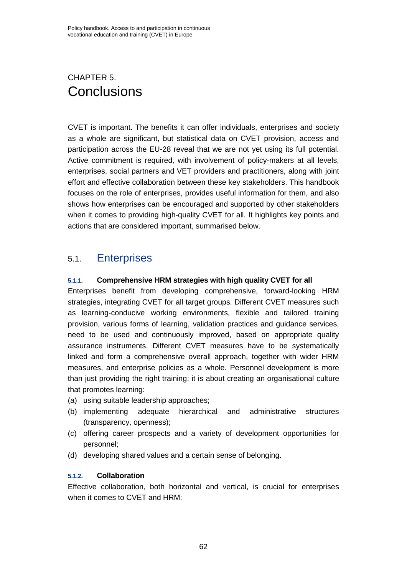## CHAPTER 5. **Conclusions**

CVET is important. The benefits it can offer individuals, enterprises and society as a whole are significant, but statistical data on CVET provision, access and participation across the EU-28 reveal that we are not yet using its full potential. Active commitment is required, with involvement of policy-makers at all levels, enterprises, social partners and VET providers and practitioners, along with joint effort and effective collaboration between these key stakeholders. This handbook focuses on the role of enterprises, provides useful information for them, and also shows how enterprises can be encouraged and supported by other stakeholders when it comes to providing high-quality CVET for all. It highlights key points and actions that are considered important, summarised below.

## 5.1. Enterprises

## **5.1.1. Comprehensive HRM strategies with high quality CVET for all**

Enterprises benefit from developing comprehensive, forward-looking HRM strategies, integrating CVET for all target groups. Different CVET measures such as learning-conducive working environments, flexible and tailored training provision, various forms of learning, validation practices and guidance services, need to be used and continuously improved, based on appropriate quality assurance instruments. Different CVET measures have to be systematically linked and form a comprehensive overall approach, together with wider HRM measures, and enterprise policies as a whole. Personnel development is more than just providing the right training: it is about creating an organisational culture that promotes learning:

- (a) using suitable leadership approaches;
- (b) implementing adequate hierarchical and administrative structures (transparency, openness);
- (c) offering career prospects and a variety of development opportunities for personnel;
- (d) developing shared values and a certain sense of belonging.

## **5.1.2. Collaboration**

Effective collaboration, both horizontal and vertical, is crucial for enterprises when it comes to CVET and HRM: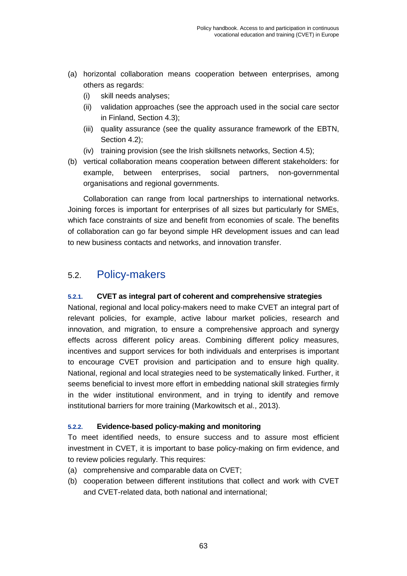- (a) horizontal collaboration means cooperation between enterprises, among others as regards:
	- (i) skill needs analyses;
	- (ii) validation approaches (see the approach used in the social care sector in Finland, Section 4.3);
	- (iii) quality assurance (see the quality assurance framework of the EBTN, Section 4.2);
	- (iv) training provision (see the Irish skillsnets networks, Section 4.5);
- (b) vertical collaboration means cooperation between different stakeholders: for example, between enterprises, social partners, non-governmental organisations and regional governments.

Collaboration can range from local partnerships to international networks. Joining forces is important for enterprises of all sizes but particularly for SMEs, which face constraints of size and benefit from economies of scale. The benefits of collaboration can go far beyond simple HR development issues and can lead to new business contacts and networks, and innovation transfer.

## 5.2. Policy-makers

## **5.2.1. CVET as integral part of coherent and comprehensive strategies**

National, regional and local policy-makers need to make CVET an integral part of relevant policies, for example, active labour market policies, research and innovation, and migration, to ensure a comprehensive approach and synergy effects across different policy areas. Combining different policy measures, incentives and support services for both individuals and enterprises is important to encourage CVET provision and participation and to ensure high quality. National, regional and local strategies need to be systematically linked. Further, it seems beneficial to invest more effort in embedding national skill strategies firmly in the wider institutional environment, and in trying to identify and remove institutional barriers for more training (Markowitsch et al., 2013).

## **5.2.2. Evidence-based policy-making and monitoring**

To meet identified needs, to ensure success and to assure most efficient investment in CVET, it is important to base policy-making on firm evidence, and to review policies regularly. This requires:

- (a) comprehensive and comparable data on CVET;
- (b) cooperation between different institutions that collect and work with CVET and CVET-related data, both national and international;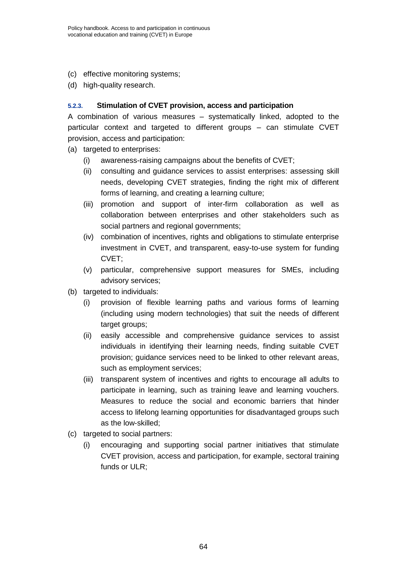- (c) effective monitoring systems;
- (d) high-quality research.

## **5.2.3. Stimulation of CVET provision, access and participation**

A combination of various measures – systematically linked, adopted to the particular context and targeted to different groups – can stimulate CVET provision, access and participation:

- (a) targeted to enterprises:
	- (i) awareness-raising campaigns about the benefits of CVET;
	- (ii) consulting and guidance services to assist enterprises: assessing skill needs, developing CVET strategies, finding the right mix of different forms of learning, and creating a learning culture;
	- (iii) promotion and support of inter-firm collaboration as well as collaboration between enterprises and other stakeholders such as social partners and regional governments;
	- (iv) combination of incentives, rights and obligations to stimulate enterprise investment in CVET, and transparent, easy-to-use system for funding CVET;
	- (v) particular, comprehensive support measures for SMEs, including advisory services;
- (b) targeted to individuals:
	- (i) provision of flexible learning paths and various forms of learning (including using modern technologies) that suit the needs of different target groups;
	- (ii) easily accessible and comprehensive guidance services to assist individuals in identifying their learning needs, finding suitable CVET provision; guidance services need to be linked to other relevant areas, such as employment services;
	- (iii) transparent system of incentives and rights to encourage all adults to participate in learning, such as training leave and learning vouchers. Measures to reduce the social and economic barriers that hinder access to lifelong learning opportunities for disadvantaged groups such as the low-skilled;
- (c) targeted to social partners:
	- (i) encouraging and supporting social partner initiatives that stimulate CVET provision, access and participation, for example, sectoral training funds or ULR;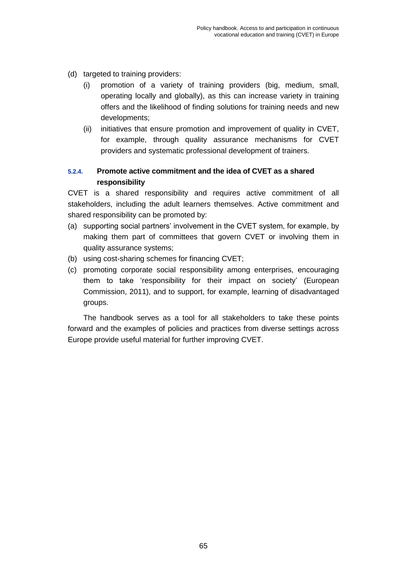- (d) targeted to training providers:
	- (i) promotion of a variety of training providers (big, medium, small, operating locally and globally), as this can increase variety in training offers and the likelihood of finding solutions for training needs and new developments;
	- (ii) initiatives that ensure promotion and improvement of quality in CVET, for example, through quality assurance mechanisms for CVET providers and systematic professional development of trainers.

## **5.2.4. Promote active commitment and the idea of CVET as a shared responsibility**

CVET is a shared responsibility and requires active commitment of all stakeholders, including the adult learners themselves. Active commitment and shared responsibility can be promoted by:

- (a) supporting social partners' involvement in the CVET system, for example, by making them part of committees that govern CVET or involving them in quality assurance systems;
- (b) using cost-sharing schemes for financing CVET;
- (c) promoting corporate social responsibility among enterprises, encouraging them to take 'responsibility for their impact on society' (European Commission, 2011), and to support, for example, learning of disadvantaged groups.

The handbook serves as a tool for all stakeholders to take these points forward and the examples of policies and practices from diverse settings across Europe provide useful material for further improving CVET.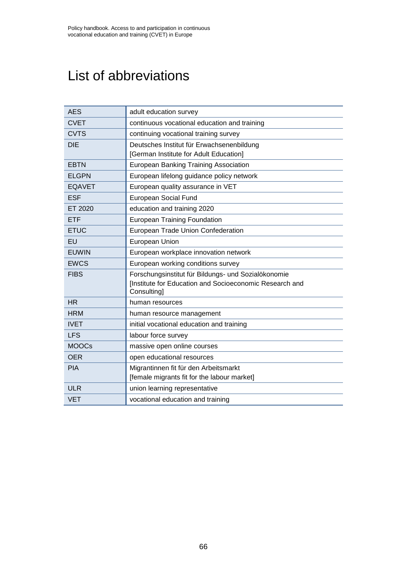# List of abbreviations

| <b>AES</b>    | adult education survey                                                         |
|---------------|--------------------------------------------------------------------------------|
| <b>CVET</b>   | continuous vocational education and training                                   |
| <b>CVTS</b>   | continuing vocational training survey                                          |
| <b>DIE</b>    | Deutsches Institut für Erwachsenenbildung                                      |
|               | [German Institute for Adult Education]                                         |
| <b>EBTN</b>   | <b>European Banking Training Association</b>                                   |
| <b>ELGPN</b>  | European lifelong guidance policy network                                      |
| <b>EQAVET</b> | European quality assurance in VET                                              |
| <b>ESF</b>    | European Social Fund                                                           |
| ET 2020       | education and training 2020                                                    |
| <b>ETF</b>    | <b>European Training Foundation</b>                                            |
| <b>ETUC</b>   | European Trade Union Confederation                                             |
| EU            | European Union                                                                 |
| <b>EUWIN</b>  | European workplace innovation network                                          |
| <b>EWCS</b>   | European working conditions survey                                             |
| <b>FIBS</b>   | Forschungsinstitut für Bildungs- und Sozialökonomie                            |
|               | [Institute for Education and Socioeconomic Research and<br><b>Consulting</b> ] |
| <b>HR</b>     | human resources                                                                |
| <b>HRM</b>    | human resource management                                                      |
| <b>IVET</b>   | initial vocational education and training                                      |
| <b>LFS</b>    | labour force survey                                                            |
| <b>MOOCs</b>  | massive open online courses                                                    |
| <b>OER</b>    | open educational resources                                                     |
| <b>PIA</b>    | Migrantinnen fit für den Arbeitsmarkt                                          |
|               | [female migrants fit for the labour market]                                    |
| <b>ULR</b>    | union learning representative                                                  |
| <b>VET</b>    | vocational education and training                                              |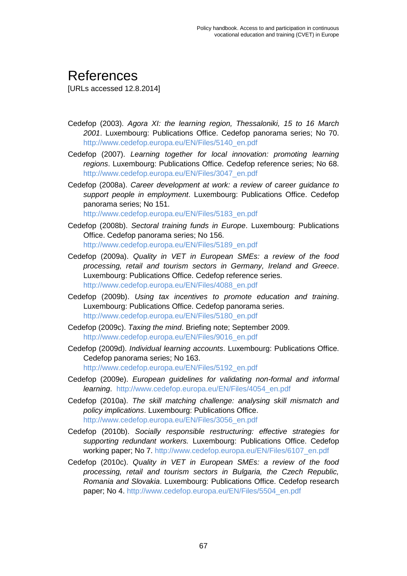## References

[URLs accessed 12.8.2014]

- Cedefop (2003). *Agora XI: the learning region, Thessaloniki, 15 to 16 March 2001*. Luxembourg: Publications Office. Cedefop panorama series; No 70. [http://www.cedefop.europa.eu/EN/Files/5140\\_en.pdf](http://www.cedefop.europa.eu/EN/Files/5140_en.pdf)
- Cedefop (2007). *Learning together for local innovation: promoting learning regions*. Luxembourg: Publications Office. Cedefop reference series; No 68. [http://www.cedefop.europa.eu/EN/Files/3047\\_en.pdf](http://www.cedefop.europa.eu/EN/Files/3047_en.pdf)
- Cedefop (2008a). *Career development at work: a review of career guidance to support people in employment*. Luxembourg: Publications Office. Cedefop panorama series; No 151.

[http://www.cedefop.europa.eu/EN/Files/5183\\_en.pdf](http://www.cedefop.europa.eu/EN/Files/5183_en.pdf)

- Cedefop (2008b). *Sectoral training funds in Europe*. Luxembourg: Publications Office. Cedefop panorama series; No 156. [http://www.cedefop.europa.eu/EN/Files/5189\\_en.pdf](http://www.cedefop.europa.eu/EN/Files/5189_en.pdf)
- Cedefop (2009a). *Quality in VET in European SMEs: a review of the food processing, retail and tourism sectors in Germany, Ireland and Greece*. Luxembourg: Publications Office. Cedefop reference series. [http://www.cedefop.europa.eu/EN/Files/4088\\_en.pdf](http://www.cedefop.europa.eu/EN/Files/4088_en.pdf)
- Cedefop (2009b). *Using tax incentives to promote education and training*. Luxembourg: Publications Office. Cedefop panorama series. [http://www.cedefop.europa.eu/EN/Files/5180\\_en.pdf](http://www.cedefop.europa.eu/EN/Files/5180_en.pdf)
- Cedefop (2009c). *Taxing the mind*. Briefing note; September 2009. [http://www.cedefop.europa.eu/EN/Files/9016\\_en.pdf](http://www.cedefop.europa.eu/EN/Files/9016_en.pdf)
- Cedefop (2009d). *Individual learning accounts*. Luxembourg: Publications Office. Cedefop panorama series; No 163. [http://www.cedefop.europa.eu/EN/Files/5192\\_en.pdf](http://www.cedefop.europa.eu/EN/Files/5192_en.pdf)
- Cedefop (2009e). *European guidelines for validating non-formal and informal learning*. [http://www.cedefop.europa.eu/EN/Files/4054\\_en.pdf](http://www.cedefop.europa.eu/EN/Files/4054_en.pdf)
- Cedefop (2010a). *The skill matching challenge: analysing skill mismatch and policy implications*. Luxembourg: Publications Office. [http://www.cedefop.europa.eu/EN/Files/3056\\_en.pdf](http://www.cedefop.europa.eu/EN/Files/3056_en.pdf)
- Cedefop (2010b). *Socially responsible restructuring: effective strategies for supporting redundant workers.* Luxembourg: Publications Office. Cedefop working paper; No 7. [http://www.cedefop.europa.eu/EN/Files/6107\\_en.pdf](http://www.cedefop.europa.eu/EN/Files/6107_en.pdf)
- Cedefop (2010c). *Quality in VET in European SMEs: a review of the food processing, retail and tourism sectors in Bulgaria, the Czech Republic, Romania and Slovakia*. Luxembourg: Publications Office. Cedefop research paper; No 4. [http://www.cedefop.europa.eu/EN/Files/5504\\_en.pdf](http://www.cedefop.europa.eu/EN/Files/5504_en.pdf)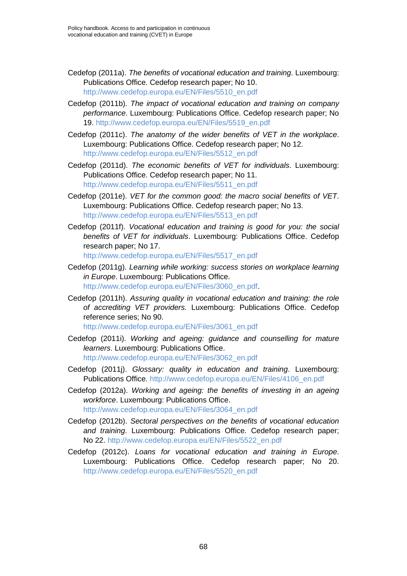- Cedefop (2011a). *The benefits of vocational education and training*. Luxembourg: Publications Office. Cedefop research paper; No 10. [http://www.cedefop.europa.eu/EN/Files/5510\\_en.pdf](http://www.cedefop.europa.eu/EN/Files/5510_en.pdf)
- Cedefop (2011b). *The impact of vocational education and training on company performance*. Luxembourg: Publications Office. Cedefop research paper; No 19. [http://www.cedefop.europa.eu/EN/Files/5519\\_en.pdf](http://www.cedefop.europa.eu/EN/Files/5519_en.pdf)
- Cedefop (2011c). *The anatomy of the wider benefits of VET in the workplace*. Luxembourg: Publications Office. Cedefop research paper; No 12. [http://www.cedefop.europa.eu/EN/Files/5512\\_en.pdf](http://www.cedefop.europa.eu/EN/Files/5512_en.pdf)
- Cedefop (2011d). *The economic benefits of VET for individuals*. Luxembourg: Publications Office. Cedefop research paper; No 11. [http://www.cedefop.europa.eu/EN/Files/5511\\_en.pdf](http://www.cedefop.europa.eu/EN/Files/5511_en.pdf)
- Cedefop (2011e). *VET for the common good: the macro social benefits of VET*. Luxembourg: Publications Office. Cedefop research paper; No 13. [http://www.cedefop.europa.eu/EN/Files/5513\\_en.pdf](http://www.cedefop.europa.eu/EN/Files/5513_en.pdf)
- Cedefop (2011f). *Vocational education and training is good for you: the social benefits of VET for individuals*. Luxembourg: Publications Office. Cedefop research paper; No 17.

[http://www.cedefop.europa.eu/EN/Files/5517\\_en.pdf](http://www.cedefop.europa.eu/EN/Files/5517_en.pdf)

- Cedefop (2011g). *Learning while working: success stories on workplace learning in Europe*. Luxembourg: Publications Office. [http://www.cedefop.europa.eu/EN/Files/3060\\_en.pdf.](http://www.cedefop.europa.eu/EN/Files/3060_en.pdf)
- Cedefop (2011h). *Assuring quality in vocational education and training: the role of accrediting VET providers.* Luxembourg: Publications Office. Cedefop reference series; No 90.

[http://www.cedefop.europa.eu/EN/Files/3061\\_en.pdf](http://www.cedefop.europa.eu/EN/Files/3061_en.pdf)

Cedefop (2011i). *Working and ageing: guidance and counselling for mature learners*. Luxembourg: Publications Office.

[http://www.cedefop.europa.eu/EN/Files/3062\\_en.pdf](http://www.cedefop.europa.eu/EN/Files/3062_en.pdf)

- Cedefop (2011j). *Glossary: quality in education and training*. Luxembourg: Publications Office. [http://www.cedefop.europa.eu/EN/Files/4106\\_en.pdf](http://www.cedefop.europa.eu/EN/Files/4106_en.pdf)
- Cedefop (2012a). *Working and ageing: the benefits of investing in an ageing workforce*. Luxembourg: Publications Office. [http://www.cedefop.europa.eu/EN/Files/3064\\_en.pdf](http://www.cedefop.europa.eu/EN/Files/3064_en.pdf)
- Cedefop (2012b). *Sectoral perspectives on the benefits of vocational education and training*. Luxembourg: Publications Office. Cedefop research paper; No 22. [http://www.cedefop.europa.eu/EN/Files/5522\\_en.pdf](http://www.cedefop.europa.eu/EN/Files/5522_en.pdf)
- Cedefop (2012c). *Loans for vocational education and training in Europe*. Luxembourg: Publications Office. Cedefop research paper; No 20. [http://www.cedefop.europa.eu/EN/Files/5520\\_en.pdf](http://www.cedefop.europa.eu/EN/Files/5520_en.pdf)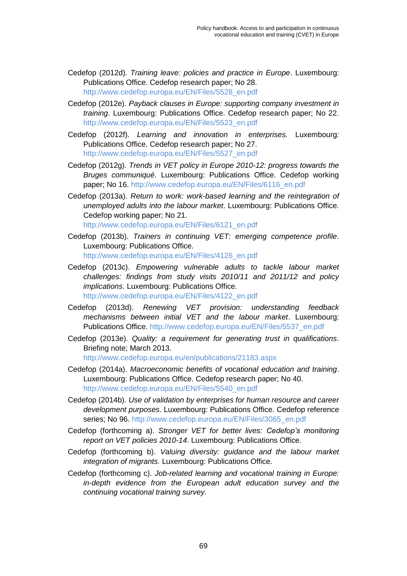- Cedefop (2012d). *Training leave: policies and practice in Europe*. Luxembourg: Publications Office. Cedefop research paper; No 28. [http://www.cedefop.europa.eu/EN/Files/5528\\_en.pdf](http://www.cedefop.europa.eu/EN/Files/5528_en.pdf)
- Cedefop (2012e). *Payback clauses in Europe: supporting company investment in training*. Luxembourg: Publications Office. Cedefop research paper; No 22. [http://www.cedefop.europa.eu/EN/Files/5523\\_en.pdf](http://www.cedefop.europa.eu/EN/Files/5523_en.pdf)
- Cedefop (2012f). *Learning and innovation in enterprises.* Luxembourg: Publications Office. Cedefop research paper; No 27. [http://www.cedefop.europa.eu/EN/Files/5527\\_en.pdf](http://www.cedefop.europa.eu/EN/Files/5527_en.pdf)
- Cedefop (2012g). *Trends in VET policy in Europe 2010-12: progress towards the Bruges communiqué*. Luxembourg: Publications Office. Cedefop working paper; No 16. [http://www.cedefop.europa.eu/EN/Files/6116\\_en.pdf](http://www.cedefop.europa.eu/EN/Files/6116_en.pdf)
- Cedefop (2013a). *Return to work: work-based learning and the reintegration of unemployed adults into the labour market*. Luxembourg: Publications Office. Cedefop working paper; No 21.

[http://www.cedefop.europa.eu/EN/Files/6121\\_en.pdf](http://www.cedefop.europa.eu/EN/Files/6121_en.pdf)

- Cedefop (2013b). *Trainers in continuing VET: emerging competence profile*. Luxembourg: Publications Office. [http://www.cedefop.europa.eu/EN/Files/4126\\_en.pdf](http://www.cedefop.europa.eu/EN/Files/4126_en.pdf)
- Cedefop (2013c). *Empowering vulnerable adults to tackle labour market challenges: findings from study visits 2010/11 and 2011/12 and policy implications*. Luxembourg: Publications Office. [http://www.cedefop.europa.eu/EN/Files/4122\\_en.pdf](http://www.cedefop.europa.eu/EN/Files/4122_en.pdf)
- Cedefop (2013d). *Renewing VET provision: understanding feedback mechanisms between initial VET and the labour market*. Luxembourg: Publications Office. [http://www.cedefop.europa.eu/EN/Files/5537\\_en.pdf](http://www.cedefop.europa.eu/EN/Files/5537_en.pdf)
- Cedefop (2013e). *Quality: a requirement for generating trust in qualifications*. Briefing note; March 2013.

<http://www.cedefop.europa.eu/en/publications/21183.aspx>

- Cedefop (2014a). *Macroeconomic benefits of vocational education and training*. Luxembourg: Publications Office. Cedefop research paper; No 40. [http://www.cedefop.europa.eu/EN/Files/5540\\_en.pdf](http://www.cedefop.europa.eu/EN/Files/5540_en.pdf)
- Cedefop (2014b). *Use of validation by enterprises for human resource and career development purposes*. Luxembourg: Publications Office. Cedefop reference series; No 96. [http://www.cedefop.europa.eu/EN/Files/3065\\_en.pdf](http://www.cedefop.europa.eu/EN/Files/3065_en.pdf)
- Cedefop (forthcoming a). *Stronger VET for better lives: Cedefop's monitoring report on VET policies 2010-14*. Luxembourg: Publications Office.
- Cedefop (forthcoming b). *Valuing diversity: guidance and the labour market integration of migrants*. Luxembourg: Publications Office.
- Cedefop (forthcoming c). *Job-related learning and vocational training in Europe: in-depth evidence from the European adult education survey and the continuing vocational training survey.*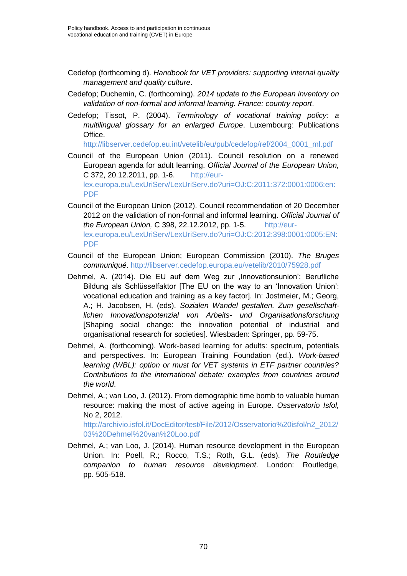- Cedefop (forthcoming d). *Handbook for VET providers: supporting internal quality management and quality culture*.
- Cedefop; Duchemin, C. (forthcoming). *2014 update to the European inventory on validation of non-formal and informal learning. France: country report*.
- Cedefop; Tissot, P. (2004). *Terminology of vocational training policy: a multilingual glossary for an enlarged Europe*. Luxembourg: Publications Office.

[http://libserver.cedefop.eu.int/vetelib/eu/pub/cedefop/ref/2004\\_0001\\_ml.pdf](http://libserver.cedefop.eu.int/vetelib/eu/pub/cedefop/ref/2004_0001_ml.pdf)

- Council of the European Union (2011). Council resolution on a renewed European agenda for adult learning. *Official Journal of the European Union,*  C 372, 20.12.2011, pp. 1-6. [http://eur](http://eur-lex.europa.eu/LexUriServ/LexUriServ.do?uri=OJ:C:2011:372:0001:0006:en:PDF)[lex.europa.eu/LexUriServ/LexUriServ.do?uri=OJ:C:2011:372:0001:0006:en:](http://eur-lex.europa.eu/LexUriServ/LexUriServ.do?uri=OJ:C:2011:372:0001:0006:en:PDF) [PDF](http://eur-lex.europa.eu/LexUriServ/LexUriServ.do?uri=OJ:C:2011:372:0001:0006:en:PDF)
- Council of the European Union (2012). Council recommendation of 20 December 2012 on the validation of non-formal and informal learning. *Official Journal of the European Union,* C 398, 22.12.2012, pp. 1-5. [http://eur](http://eur-lex.europa.eu/LexUriServ/LexUriServ.do?uri=OJ:C:2012:398:0001:0005:EN:PDF)[lex.europa.eu/LexUriServ/LexUriServ.do?uri=OJ:C:2012:398:0001:0005:EN:](http://eur-lex.europa.eu/LexUriServ/LexUriServ.do?uri=OJ:C:2012:398:0001:0005:EN:PDF) [PDF](http://eur-lex.europa.eu/LexUriServ/LexUriServ.do?uri=OJ:C:2012:398:0001:0005:EN:PDF)
- Council of the European Union; European Commission (2010). *The Bruges communiqué*.<http://libserver.cedefop.europa.eu/vetelib/2010/75928.pdf>
- Dehmel, A. (2014). Die EU auf dem Weg zur , Innovationsunion': Berufliche Bildung als Schlüsselfaktor [The EU on the way to an 'Innovation Union': vocational education and training as a key factor]. In: Jostmeier, M.; Georg, A.; H. Jacobsen, H. (eds). *Sozialen Wandel gestalten. Zum gesellschaftlichen Innovationspotenzial von Arbeits- und Organisationsforschung*  [Shaping social change: the innovation potential of industrial and organisational research for societies]. Wiesbaden: Springer, pp. 59-75.
- Dehmel, A. (forthcoming). Work-based learning for adults: spectrum, potentials and perspectives. In: European Training Foundation (ed.). *Work-based learning (WBL): option or must for VET systems in ETF partner countries? Contributions to the international debate: examples from countries around the world*.
- Dehmel, A.; van Loo, J. (2012). From demographic time bomb to valuable human resource: making the most of active ageing in Europe. *Osservatorio Isfol,*  No 2, 2012.

[http://archivio.isfol.it/DocEditor/test/File/2012/Osservatorio%20isfol/n2\\_2012/](http://archivio.isfol.it/DocEditor/test/File/2012/Osservatorio%20isfol/n2_2012/03%20Dehmel%20van%20Loo.pdf) [03%20Dehmel%20van%20Loo.pdf](http://archivio.isfol.it/DocEditor/test/File/2012/Osservatorio%20isfol/n2_2012/03%20Dehmel%20van%20Loo.pdf)

Dehmel, A.; van Loo, J. (2014). Human resource development in the European Union. In: Poell, R.; Rocco, T.S.; Roth, G.L. [\(eds\).](http://www.barnesandnoble.com/c/gene-roth) *The Routledge companion to human resource development*. London: Routledge, pp. 505-518.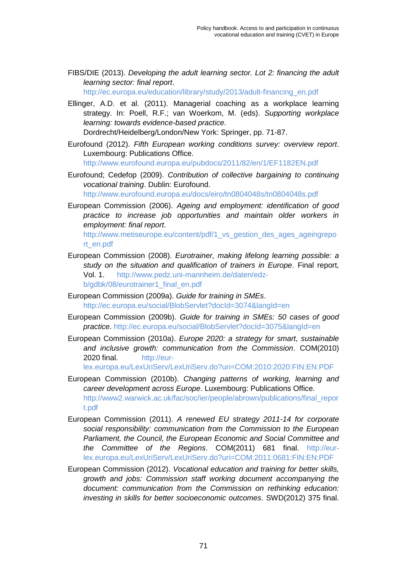FIBS/DIE (2013). *Developing the adult learning sector. Lot 2: financing the adult learning sector: final report*.

[http://ec.europa.eu/education/library/study/2013/adult-financing\\_en.pdf](http://ec.europa.eu/education/library/study/2013/adult-financing_en.pdf)

Ellinger, A.D. et al. (2011). Managerial coaching as a workplace learning strategy. In: Poell, R.F.; van Woerkom, M. (eds). *Supporting workplace learning: towards evidence-based practice*. Dordrecht/Heidelberg/London/New York: Springer, pp. 71-87.

Eurofound (2012). *Fifth European working conditions survey: overview report*. Luxembourg: Publications Office.

<http://www.eurofound.europa.eu/pubdocs/2011/82/en/1/EF1182EN.pdf>

Eurofound; Cedefop (2009). *Contribution of collective bargaining to continuing vocational training*. Dublin: Eurofound. <http://www.eurofound.europa.eu/docs/eiro/tn0804048s/tn0804048s.pdf>

European Commission (2006). *Ageing and employment: identification of good practice to increase job opportunities and maintain older workers in employment: final report*. [http://www.metiseurope.eu/content/pdf/1\\_vs\\_gestion\\_des\\_ages\\_ageingrepo](http://www.metiseurope.eu/content/pdf/1_vs_gestion_des_ages_ageingreport_en.pdf) [rt\\_en.pdf](http://www.metiseurope.eu/content/pdf/1_vs_gestion_des_ages_ageingreport_en.pdf)

- European Commission (2008). *Eurotrainer, making lifelong learning possible: a study on the situation and qualification of trainers in Europe*. Final report, Vol. 1. [http://www.pedz.uni-mannheim.de/daten/edz](http://www.pedz.uni-mannheim.de/daten/edz-b/gdbk/08/eurotrainer1_final_en.pdf)[b/gdbk/08/eurotrainer1\\_final\\_en.pdf](http://www.pedz.uni-mannheim.de/daten/edz-b/gdbk/08/eurotrainer1_final_en.pdf)
- European Commission (2009a). *Guide for training in SMEs*. <http://ec.europa.eu/social/BlobServlet?docId=3074&langId=en>
- European Commission (2009b). *Guide for training in SMEs: 50 cases of good practice*.<http://ec.europa.eu/social/BlobServlet?docId=3075&langId=en>
- European Commission (2010a). *Europe 2020: a strategy for smart, sustainable and inclusive growth: communication from the Commission*. COM(2010) 2020 final. [http://eur-](http://eur-lex.europa.eu/LexUriServ/LexUriServ.do?uri=COM:2010:2020:FIN:EN:PDF)

[lex.europa.eu/LexUriServ/LexUriServ.do?uri=COM:2010:2020:FIN:EN:PDF](http://eur-lex.europa.eu/LexUriServ/LexUriServ.do?uri=COM:2010:2020:FIN:EN:PDF)

- European Commission (2010b). *Changing patterns of working, learning and career development across Europe*. Luxembourg: Publications Office. [http://www2.warwick.ac.uk/fac/soc/ier/people/abrown/publications/final\\_repor](http://www2.warwick.ac.uk/fac/soc/ier/people/abrown/publications/final_report.pdf) [t.pdf](http://www2.warwick.ac.uk/fac/soc/ier/people/abrown/publications/final_report.pdf)
- European Commission (2011). *A renewed EU strategy 2011-14 for corporate social responsibility: communication from the Commission to the European Parliament, the Council, the European Economic and Social Committee and the Committee of the Regions*. COM(2011) 681 final. [http://eur](http://eur-lex.europa.eu/LexUriServ/LexUriServ.do?uri=COM:2011:0681:FIN:EN:PDF)[lex.europa.eu/LexUriServ/LexUriServ.do?uri=COM:2011:0681:FIN:EN:PDF](http://eur-lex.europa.eu/LexUriServ/LexUriServ.do?uri=COM:2011:0681:FIN:EN:PDF)
- European Commission (2012). *Vocational education and training for better skills, growth and jobs: Commission staff working document accompanying the document: communication from the Commission on rethinking education: investing in skills for better socioeconomic outcomes*. SWD(2012) 375 final.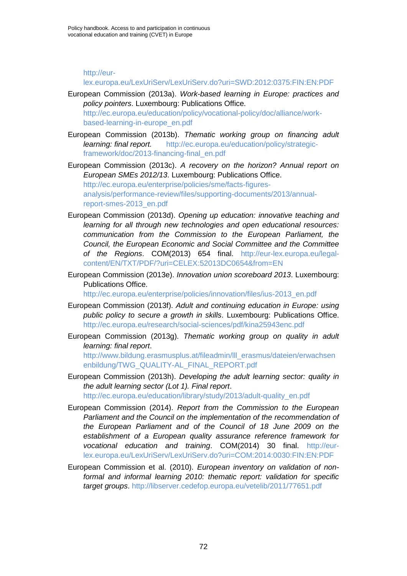## [http://eur-](http://eur-lex.europa.eu/LexUriServ/LexUriServ.do?uri=SWD:2012:0375:FIN:EN:PDF)

## [lex.europa.eu/LexUriServ/LexUriServ.do?uri=SWD:2012:0375:FIN:EN:PDF](http://eur-lex.europa.eu/LexUriServ/LexUriServ.do?uri=SWD:2012:0375:FIN:EN:PDF)

- European Commission (2013a). *Work-based learning in Europe: practices and policy pointers*. Luxembourg: Publications Office. [http://ec.europa.eu/education/policy/vocational-policy/doc/alliance/work](http://ec.europa.eu/education/policy/vocational-policy/doc/alliance/work-based-learning-in-europe_en.pdf)[based-learning-in-europe\\_en.pdf](http://ec.europa.eu/education/policy/vocational-policy/doc/alliance/work-based-learning-in-europe_en.pdf)
- European Commission (2013b). *Thematic working group on financing adult learning: final report.* [http://ec.europa.eu/education/policy/strategic](http://ec.europa.eu/education/policy/strategic-framework/doc/2013-financing-final_en.pdf)[framework/doc/2013-financing-final\\_en.pdf](http://ec.europa.eu/education/policy/strategic-framework/doc/2013-financing-final_en.pdf)
- European Commission (2013c). *A recovery on the horizon? Annual report on European SMEs 2012/13*. Luxembourg: Publications Office. [http://ec.europa.eu/enterprise/policies/sme/facts-figures](http://ec.europa.eu/enterprise/policies/sme/facts-figures-analysis/performance-review/files/supporting-documents/2013/annual-report-smes-2013_en.pdf)[analysis/performance-review/files/supporting-documents/2013/annual](http://ec.europa.eu/enterprise/policies/sme/facts-figures-analysis/performance-review/files/supporting-documents/2013/annual-report-smes-2013_en.pdf)[report-smes-2013\\_en.pdf](http://ec.europa.eu/enterprise/policies/sme/facts-figures-analysis/performance-review/files/supporting-documents/2013/annual-report-smes-2013_en.pdf)
- European Commission (2013d). *Opening up education: innovative teaching and learning for all through new technologies and open educational resources: communication from the Commission to the European Parliament, the Council, the European Economic and Social Committee and the Committee of the Regions*. COM(2013) 654 final. [http://eur-lex.europa.eu/legal](http://eur-lex.europa.eu/legal-content/EN/TXT/PDF/?uri=CELEX:52013DC0654&from=EN)[content/EN/TXT/PDF/?uri=CELEX:52013DC0654&from=EN](http://eur-lex.europa.eu/legal-content/EN/TXT/PDF/?uri=CELEX:52013DC0654&from=EN)
- European Commission (2013e). *Innovation union scoreboard 2013*. Luxembourg: Publications Office.

[http://ec.europa.eu/enterprise/policies/innovation/files/ius-2013\\_en.pdf](http://ec.europa.eu/enterprise/policies/innovation/files/ius-2013_en.pdf)

- European Commission (2013f). *Adult and continuing education in Europe: using public policy to secure a growth in skills*. Luxembourg: Publications Office. <http://ec.europa.eu/research/social-sciences/pdf/kina25943enc.pdf>
- European Commission (2013g). *Thematic working group on quality in adult learning: final report*.

http://www.bildung.erasmusplus.at/fileadmin/III erasmus/dateien/erwachsen [enbildung/TWG\\_QUALITY-AL\\_FINAL\\_REPORT.pdf](http://www.bildung.erasmusplus.at/fileadmin/lll_erasmus/dateien/erwachsenenbildung/TWG_QUALITY-AL_FINAL_REPORT.pdf)

- European Commission (2013h). *Developing the adult learning sector: quality in the adult learning sector (Lot 1). Final report*. [http://ec.europa.eu/education/library/study/2013/adult-quality\\_en.pdf](http://ec.europa.eu/education/library/study/2013/adult-quality_en.pdf)
- European Commission (2014). *Report from the Commission to the European*  Parliament and the Council on the implementation of the recommendation of *the European Parliament and of the Council of 18 June 2009 on the establishment of a European quality assurance reference framework for vocational education and training*. COM(2014) 30 final. [http://eur](http://eur-lex.europa.eu/LexUriServ/LexUriServ.do?uri=COM:2014:0030:FIN:EN:PDF)[lex.europa.eu/LexUriServ/LexUriServ.do?uri=COM:2014:0030:FIN:EN:PDF](http://eur-lex.europa.eu/LexUriServ/LexUriServ.do?uri=COM:2014:0030:FIN:EN:PDF)
- European Commission et al. (2010). *European inventory on validation of nonformal and informal learning 2010: thematic report: validation for specific target groups*.<http://libserver.cedefop.europa.eu/vetelib/2011/77651.pdf>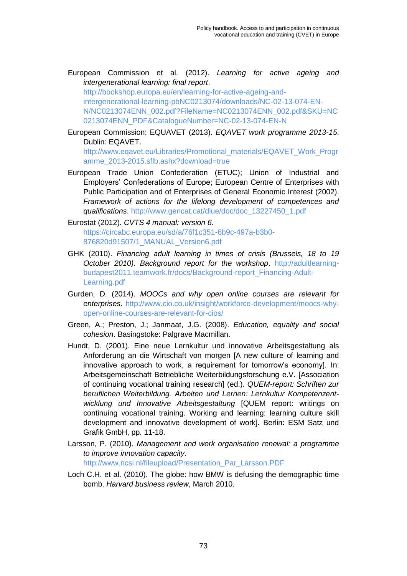- European Commission et al. (2012). *Learning for active ageing and intergenerational learning: final report*. [http://bookshop.europa.eu/en/learning-for-active-ageing-and](http://bookshop.europa.eu/en/learning-for-active-ageing-and-intergenerational-learning-pbNC0213074/downloads/NC-02-13-074-EN-N/NC0213074ENN_002.pdf?FileName=NC0213074ENN_002.pdf&SKU=NC0213074ENN_PDF&CatalogueNumber=NC-02-13-074-EN-N)[intergenerational-learning-pbNC0213074/downloads/NC-02-13-074-EN-](http://bookshop.europa.eu/en/learning-for-active-ageing-and-intergenerational-learning-pbNC0213074/downloads/NC-02-13-074-EN-N/NC0213074ENN_002.pdf?FileName=NC0213074ENN_002.pdf&SKU=NC0213074ENN_PDF&CatalogueNumber=NC-02-13-074-EN-N)[N/NC0213074ENN\\_002.pdf?FileName=NC0213074ENN\\_002.pdf&SKU=NC](http://bookshop.europa.eu/en/learning-for-active-ageing-and-intergenerational-learning-pbNC0213074/downloads/NC-02-13-074-EN-N/NC0213074ENN_002.pdf?FileName=NC0213074ENN_002.pdf&SKU=NC0213074ENN_PDF&CatalogueNumber=NC-02-13-074-EN-N) [0213074ENN\\_PDF&CatalogueNumber=NC-02-13-074-EN-N](http://bookshop.europa.eu/en/learning-for-active-ageing-and-intergenerational-learning-pbNC0213074/downloads/NC-02-13-074-EN-N/NC0213074ENN_002.pdf?FileName=NC0213074ENN_002.pdf&SKU=NC0213074ENN_PDF&CatalogueNumber=NC-02-13-074-EN-N)
- European Commission; EQUAVET (2013). *EQAVET work programme 2013-15*. Dublin: EQAVET.

[http://www.eqavet.eu/Libraries/Promotional\\_materials/EQAVET\\_Work\\_Progr](http://www.eqavet.eu/Libraries/Promotional_materials/EQAVET_Work_Programme_2013-2015.sflb.ashx?download=true) [amme\\_2013-2015.sflb.ashx?download=true](http://www.eqavet.eu/Libraries/Promotional_materials/EQAVET_Work_Programme_2013-2015.sflb.ashx?download=true)

European Trade Union Confederation (ETUC); Union of Industrial and Employers' Confederations of Europe; European Centre of Enterprises with Public Participation and of Enterprises of General Economic Interest (2002). *Framework of actions for the lifelong development of competences and qualifications*. [http://www.gencat.cat/diue/doc/doc\\_13227450\\_1.pdf](http://www.gencat.cat/diue/doc/doc_13227450_1.pdf)

Eurostat (2012). *CVTS 4 manual: version 6*. [https://circabc.europa.eu/sd/a/76f1c351-6b9c-497a-b3b0-](https://circabc.europa.eu/sd/a/76f1c351-6b9c-497a-b3b0-876820d91507/1_MANUAL_Version6.pdf) [876820d91507/1\\_MANUAL\\_Version6.pdf](https://circabc.europa.eu/sd/a/76f1c351-6b9c-497a-b3b0-876820d91507/1_MANUAL_Version6.pdf)

- GHK (2010). *Financing adult learning in times of crisis (Brussels, 18 to 19 October 2010). Background report for the workshop*. [http://adultlearning](http://adultlearning-budapest2011.teamwork.fr/docs/Background-report_Financing-Adult-Learning.pdf)[budapest2011.teamwork.fr/docs/Background-report\\_Financing-Adult-](http://adultlearning-budapest2011.teamwork.fr/docs/Background-report_Financing-Adult-Learning.pdf)[Learning.pdf](http://adultlearning-budapest2011.teamwork.fr/docs/Background-report_Financing-Adult-Learning.pdf)
- Gurden, D. (2014). *MOOCs and why open online courses are relevant for enterprises*. [http://www.cio.co.uk/insight/workforce-development/moocs-why](http://www.cio.co.uk/insight/workforce-development/moocs-why-open-online-courses-are-relevant-for-cios/)[open-online-courses-are-relevant-for-cios/](http://www.cio.co.uk/insight/workforce-development/moocs-why-open-online-courses-are-relevant-for-cios/)
- Green, A.; Preston, J.; Janmaat, J.G. (2008). *Education, equality and social cohesion*. Basingstoke: Palgrave Macmillan.
- Hundt, D. (2001). Eine neue Lernkultur und innovative Arbeitsgestaltung als Anforderung an die Wirtschaft von morgen [A new culture of learning and innovative approach to work, a requirement for tomorrow's economy]. In: Arbeitsgemeinschaft Betriebliche Weiterbildungsforschung e.V. [Association of continuing vocational training research] (ed.). *QUEM-report: Schriften zur beruflichen Weiterbildung. Arbeiten und Lernen: Lernkultur Kompetenzentwicklung und Innovative Arbeitsgestaltung* [QUEM report: writings on continuing vocational training. Working and learning: learning culture skill development and innovative development of work]. Berlin: ESM Satz und Grafik GmbH, pp. 11-18.
- Larsson, P. (2010). *Management and work organisation renewal: a programme to improve innovation capacity*.

[http://www.ncsi.nl/fileupload/Presentation\\_Par\\_Larsson.PDF](http://www.ncsi.nl/fileupload/Presentation_Par_Larsson.PDF)

Loch C.H. et al. (2010). The globe: how BMW is defusing the demographic time bomb. *Harvard business review*, March 2010.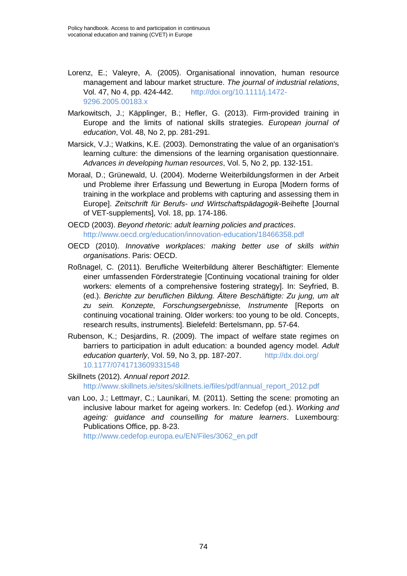- Lorenz, E.; Valeyre, A. (2005). Organisational innovation, human resource management and labour market structure. *The journal of industrial relations*, Vol. 47, No 4, pp. 424-442. [http://doi.org/10.1111/j.1472-](http://doi.org/10.1111/j.1472-9296.2005.00183.x) [9296.2005.00183.x](http://doi.org/10.1111/j.1472-9296.2005.00183.x)
- Markowitsch, J.; Käpplinger, B.; Hefler, G. (2013). Firm-provided training in Europe and the limits of national skills strategies. *European journal of education*, Vol. 48, No 2, pp. 281-291.
- Marsick, V.J.; Watkins, K.E. (2003). Demonstrating the value of an organisation's learning culture: the dimensions of the learning organisation questionnaire. *Advances in developing human resources*, Vol. 5, No 2, pp. 132-151.
- Moraal, D.; Grünewald, U. (2004). Moderne Weiterbildungsformen in der Arbeit und Probleme ihrer Erfassung und Bewertung in Europa [Modern forms of training in the workplace and problems with capturing and assessing them in Europe]. *Zeitschrift für Berufs- und Wirtschaftspädagogik-*Beihefte [Journal of VET-supplements], Vol. 18, pp. 174-186.
- OECD (2003). *Beyond rhetoric: adult learning policies and practices*. <http://www.oecd.org/education/innovation-education/18466358.pdf>
- OECD (2010). *Innovative workplaces: making better use of skills within organisations*. Paris: OECD.
- Roßnagel, C. (2011). Berufliche Weiterbildung älterer Beschäftigter: Elemente einer umfassenden Förderstrategie [Continuing vocational training for older workers: elements of a comprehensive fostering strategy]. In: Seyfried, B. (ed.). *Berichte zur beruflichen Bildung. Ältere Beschäftigte: Zu jung, um alt zu sein. Konzepte, Forschungsergebnisse, Instrumente* [Reports on continuing vocational training. Older workers: too young to be old. Concepts, research results, instruments]. Bielefeld: Bertelsmann, pp. 57-64.
- Rubenson, K.; Desjardins, R. (2009). The impact of welfare state regimes on barriers to participation in adult education: a bounded agency model. *Adult education quarterly*, Vol. 59, No 3, pp. 187-207. http://dx.doi.org/ 10.1177/0741713609331548

Skillnets (2012). *Annual report 2012*. [http://www.skillnets.ie/sites/skillnets.ie/files/pdf/annual\\_report\\_2012.pdf](http://www.skillnets.ie/sites/skillnets.ie/files/pdf/annual_report_2012.pdf)

van Loo, J.; Lettmayr, C.; Launikari, M. (2011). Setting the scene: promoting an inclusive labour market for ageing workers. In: Cedefop (ed.). *Working and ageing: guidance and counselling for mature learners*. Luxembourg: Publications Office, pp. 8-23.

[http://www.cedefop.europa.eu/EN/Files/3062\\_en.pdf](http://www.cedefop.europa.eu/EN/Files/3062_en.pdf)